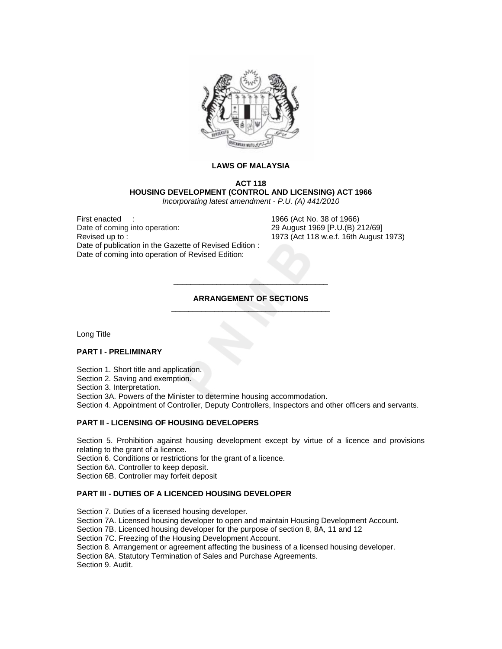

## **LAWS OF MALAYSIA**

# **ACT 118 HOUSING DEVELOPMENT (CONTROL AND LICENSING) ACT 1966**

*Incorporating latest amendment - P.U. (A) 441/2010* 

First enacted :<br>
Date of coming into operation: 1966 (Act No. 38 of 1966)<br>
29 August 1969 [P.U.(B) 2 Revised up to : 1973 (Act 118 w.e.f. 16th August 1973) Date of publication in the Gazette of Revised Edition : Date of coming into operation of Revised Edition:

29 August 1969 [P.U.(B) 212/69]

# **ARRANGEMENT OF SECTIONS**  \_\_\_\_\_\_\_\_\_\_\_\_\_\_\_\_\_\_\_\_\_\_\_\_\_\_\_\_\_\_\_\_\_\_\_\_\_

\_\_\_\_\_\_\_\_\_\_\_\_\_\_\_\_\_\_\_\_\_\_\_\_\_\_\_\_\_\_\_\_\_\_\_\_

Long Title

# **PART I - PRELIMINARY**

Section 1. Short title and application.

Section 2. Saving and exemption.

Section 3. Interpretation.

Section 3A. Powers of the Minister to determine housing accommodation.

Section 4. Appointment of Controller, Deputy Controllers, Inspectors and other officers and servants.

# **PART II - LICENSING OF HOUSING DEVELOPERS**

Section 5. Prohibition against housing development except by virtue of a licence and provisions relating to the grant of a licence.

Section 6. Conditions or restrictions for the grant of a licence.

Section 6A. Controller to keep deposit.

Section 6B. Controller may forfeit deposit

# **PART III - DUTIES OF A LICENCED HOUSING DEVELOPER**

Section 7. Duties of a licensed housing developer. Section 7A. Licensed housing developer to open and maintain Housing Development Account. Section 7B. Licenced housing developer for the purpose of section 8, 8A, 11 and 12 Section 7C. Freezing of the Housing Development Account. Section 8. Arrangement or agreement affecting the business of a licensed housing developer. Section 8A. Statutory Termination of Sales and Purchase Agreements. Section 9. Audit.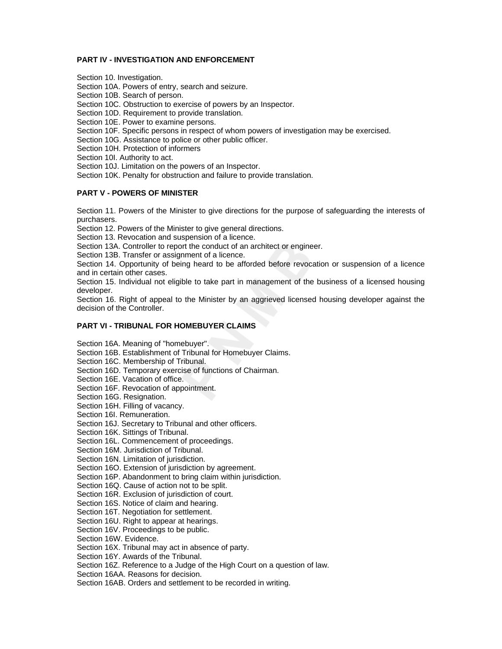# **PART IV - INVESTIGATION AND ENFORCEMENT**

Section 10. Investigation.

Section 10A. Powers of entry, search and seizure.

Section 10B. Search of person.

Section 10C. Obstruction to exercise of powers by an Inspector.

Section 10D. Requirement to provide translation.

Section 10E. Power to examine persons.

Section 10F. Specific persons in respect of whom powers of investigation may be exercised.

Section 10G. Assistance to police or other public officer.

Section 10H. Protection of informers

Section 10I. Authority to act.

Section 10J. Limitation on the powers of an Inspector.

Section 10K. Penalty for obstruction and failure to provide translation.

## **PART V - POWERS OF MINISTER**

Section 11. Powers of the Minister to give directions for the purpose of safeguarding the interests of purchasers.

Section 12. Powers of the Minister to give general directions.

Section 13. Revocation and suspension of a licence.

Section 13A. Controller to report the conduct of an architect or engineer.

Section 13B. Transfer or assignment of a licence.

Section 14. Opportunity of being heard to be afforded before revocation or suspension of a licence and in certain other cases.

Section 15. Individual not eligible to take part in management of the business of a licensed housing developer.

Section 16. Right of appeal to the Minister by an aggrieved licensed housing developer against the decision of the Controller.

## **PART VI - TRIBUNAL FOR HOMEBUYER CLAIMS**

Section 16A. Meaning of "homebuyer".

Section 16B. Establishment of Tribunal for Homebuyer Claims.

Section 16C. Membership of Tribunal.

Section 16D. Temporary exercise of functions of Chairman.

Section 16E. Vacation of office.

Section 16F. Revocation of appointment.

Section 16G. Resignation.

Section 16H. Filling of vacancy.

Section 16I. Remuneration.

Section 16J. Secretary to Tribunal and other officers.

Section 16K. Sittings of Tribunal.

Section 16L. Commencement of proceedings.

Section 16M. Jurisdiction of Tribunal.

Section 16N. Limitation of jurisdiction.

Section 16O. Extension of jurisdiction by agreement.

Section 16P. Abandonment to bring claim within jurisdiction.

Section 16Q. Cause of action not to be split.

Section 16R. Exclusion of jurisdiction of court.

Section 16S. Notice of claim and hearing.

Section 16T. Negotiation for settlement.

Section 16U. Right to appear at hearings.

Section 16V. Proceedings to be public.

Section 16W. Evidence.

Section 16X. Tribunal may act in absence of party.

Section 16Y. Awards of the Tribunal.

Section 16Z. Reference to a Judge of the High Court on a question of law.

Section 16AA. Reasons for decision.

Section 16AB. Orders and settlement to be recorded in writing.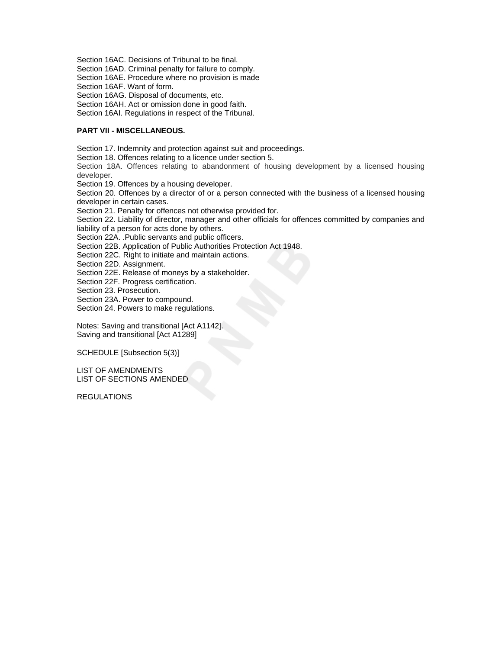Section 16AC. Decisions of Tribunal to be final.

Section 16AD. Criminal penalty for failure to comply.

Section 16AE. Procedure where no provision is made

Section 16AF. Want of form.

Section 16AG. Disposal of documents, etc.

Section 16AH. Act or omission done in good faith.

Section 16AI. Regulations in respect of the Tribunal.

# **PART VII - MISCELLANEOUS.**

Section 17. Indemnity and protection against suit and proceedings.

Section 18. Offences relating to a licence under section 5.

Section 18A. Offences relating to abandonment of housing development by a licensed housing developer.

Section 19. Offences by a housing developer.

Section 20. Offences by a director of or a person connected with the business of a licensed housing developer in certain cases.

Section 21. Penalty for offences not otherwise provided for.

Section 22. Liability of director, manager and other officials for offences committed by companies and liability of a person for acts done by others.

Section 22A. .Public servants and public officers.

Section 22B. Application of Public Authorities Protection Act 1948.

Section 22C. Right to initiate and maintain actions.

Section 22D. Assignment.

Section 22E. Release of moneys by a stakeholder.

Section 22F. Progress certification.

Section 23. Prosecution.

Section 23A. Power to compound.

Section 24. Powers to make regulations.

Notes: Saving and transitional [Act A1142]. Saving and transitional [Act A1289]

SCHEDULE [Subsection 5(3)]

LIST OF AMENDMENTS LIST OF SECTIONS AMENDED

**REGULATIONS**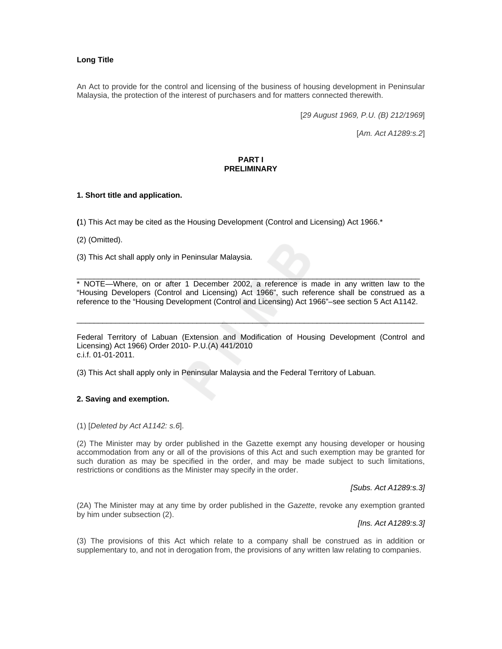# **Long Title**

An Act to provide for the control and licensing of the business of housing development in Peninsular Malaysia, the protection of the interest of purchasers and for matters connected therewith.

[*29 August 1969, P.U. (B) 212/1969*]

[*Am. Act A1289:s.2*]

# **PART I PRELIMINARY**

# **1. Short title and application.**

**(**1) This Act may be cited as the Housing Development (Control and Licensing) Act 1966.\*

(2) (Omitted).

(3) This Act shall apply only in Peninsular Malaysia.

\* NOTE—Where, on or after 1 December 2002, a reference is made in any written law to the "Housing Developers (Control and Licensing) Act 1966", such reference shall be construed as a reference to the "Housing Development (Control and Licensing) Act 1966"–see section 5 Act A1142.

\_\_\_\_\_\_\_\_\_\_\_\_\_\_\_\_\_\_\_\_\_\_\_\_\_\_\_\_\_\_\_\_\_\_\_\_\_\_\_\_\_\_\_\_\_\_\_\_\_\_\_\_\_\_\_\_\_\_\_\_\_\_\_\_\_\_\_\_\_\_\_\_\_\_\_\_\_\_\_\_

Federal Territory of Labuan (Extension and Modification of Housing Development (Control and Licensing) Act 1966) Order 2010- P.U.(A) 441/2010 c.i.f. 01-01-2011.

\_\_\_\_\_\_\_\_\_\_\_\_\_\_\_\_\_\_\_\_\_\_\_\_\_\_\_\_\_\_\_\_\_\_\_\_\_\_\_\_\_\_\_\_\_\_\_\_\_\_\_\_\_\_\_\_\_\_\_\_\_\_\_\_\_\_\_\_\_\_\_\_\_\_\_\_\_\_\_\_\_

(3) This Act shall apply only in Peninsular Malaysia and the Federal Territory of Labuan.

## **2. Saving and exemption.**

(1) [*Deleted by Act A1142: s.6*].

(2) The Minister may by order published in the Gazette exempt any housing developer or housing accommodation from any or all of the provisions of this Act and such exemption may be granted for such duration as may be specified in the order, and may be made subject to such limitations, restrictions or conditions as the Minister may specify in the order.

*[Subs. Act A1289:s.3]*

(2A) The Minister may at any time by order published in the *Gazette*, revoke any exemption granted by him under subsection (2).

*[Ins. Act A1289:s.3]*

(3) The provisions of this Act which relate to a company shall be construed as in addition or supplementary to, and not in derogation from, the provisions of any written law relating to companies.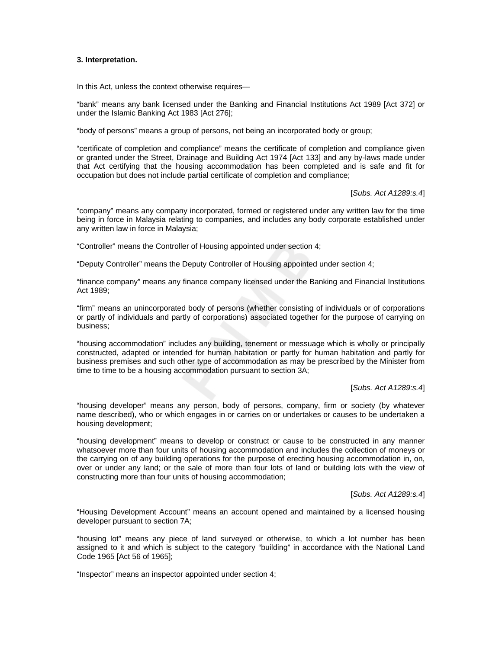## **3. Interpretation.**

In this Act, unless the context otherwise requires—

"bank" means any bank licensed under the Banking and Financial Institutions Act 1989 [Act 372] or under the Islamic Banking Act 1983 [Act 276];

"body of persons" means a group of persons, not being an incorporated body or group;

"certificate of completion and compliance" means the certificate of completion and compliance given or granted under the Street, Drainage and Building Act 1974 [Act 133] and any by-laws made under that Act certifying that the housing accommodation has been completed and is safe and fit for occupation but does not include partial certificate of completion and compliance;

[*Subs. Act A1289:s.4*]

"company" means any company incorporated, formed or registered under any written law for the time being in force in Malaysia relating to companies, and includes any body corporate established under any written law in force in Malaysia;

"Controller" means the Controller of Housing appointed under section 4;

"Deputy Controller" means the Deputy Controller of Housing appointed under section 4;

"finance company" means any finance company licensed under the Banking and Financial Institutions Act 1989;

"firm" means an unincorporated body of persons (whether consisting of individuals or of corporations or partly of individuals and partly of corporations) associated together for the purpose of carrying on business;

"housing accommodation" includes any building, tenement or messuage which is wholly or principally constructed, adapted or intended for human habitation or partly for human habitation and partly for business premises and such other type of accommodation as may be prescribed by the Minister from time to time to be a housing accommodation pursuant to section 3A;

[*Subs. Act A1289:s.4*]

"housing developer" means any person, body of persons, company, firm or society (by whatever name described), who or which engages in or carries on or undertakes or causes to be undertaken a housing development;

"housing development" means to develop or construct or cause to be constructed in any manner whatsoever more than four units of housing accommodation and includes the collection of moneys or the carrying on of any building operations for the purpose of erecting housing accommodation in, on, over or under any land; or the sale of more than four lots of land or building lots with the view of constructing more than four units of housing accommodation;

[*Subs. Act A1289:s.4*]

"Housing Development Account" means an account opened and maintained by a licensed housing developer pursuant to section 7A;

"housing lot" means any piece of land surveyed or otherwise, to which a lot number has been assigned to it and which is subject to the category "building" in accordance with the National Land Code 1965 [Act 56 of 1965];

"Inspector" means an inspector appointed under section 4;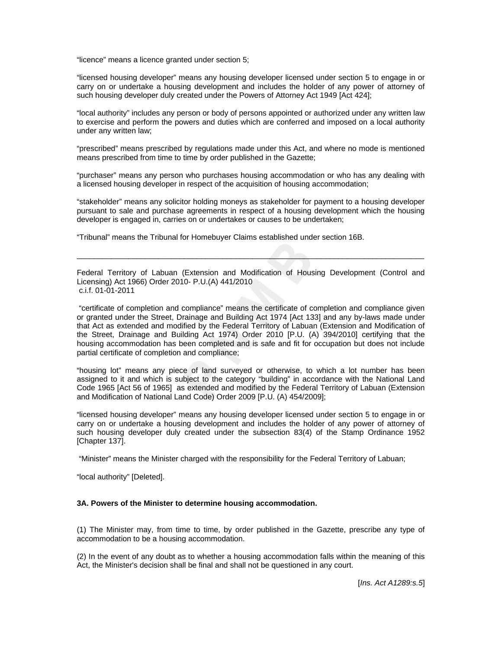"licence" means a licence granted under section 5;

"licensed housing developer" means any housing developer licensed under section 5 to engage in or carry on or undertake a housing development and includes the holder of any power of attorney of such housing developer duly created under the Powers of Attorney Act 1949 [Act 424];

"local authority" includes any person or body of persons appointed or authorized under any written law to exercise and perform the powers and duties which are conferred and imposed on a local authority under any written law;

"prescribed" means prescribed by regulations made under this Act, and where no mode is mentioned means prescribed from time to time by order published in the Gazette;

"purchaser" means any person who purchases housing accommodation or who has any dealing with a licensed housing developer in respect of the acquisition of housing accommodation;

"stakeholder" means any solicitor holding moneys as stakeholder for payment to a housing developer pursuant to sale and purchase agreements in respect of a housing development which the housing developer is engaged in, carries on or undertakes or causes to be undertaken;

"Tribunal" means the Tribunal for Homebuyer Claims established under section 16B.

Federal Territory of Labuan (Extension and Modification of Housing Development (Control and Licensing) Act 1966) Order 2010- P.U.(A) 441/2010 c.i.f. 01-01-2011

\_\_\_\_\_\_\_\_\_\_\_\_\_\_\_\_\_\_\_\_\_\_\_\_\_\_\_\_\_\_\_\_\_\_\_\_\_\_\_\_\_\_\_\_\_\_\_\_\_\_\_\_\_\_\_\_\_\_\_\_\_\_\_\_\_\_\_\_\_\_\_\_\_\_\_\_\_\_\_\_\_

 "certificate of completion and compliance" means the certificate of completion and compliance given or granted under the Street, Drainage and Building Act 1974 [Act 133] and any by-laws made under that Act as extended and modified by the Federal Territory of Labuan (Extension and Modification of the Street, Drainage and Building Act 1974) Order 2010 [P.U. (A) 394/2010] certifying that the housing accommodation has been completed and is safe and fit for occupation but does not include partial certificate of completion and compliance;

"housing lot" means any piece of land surveyed or otherwise, to which a lot number has been assigned to it and which is subject to the category "building" in accordance with the National Land Code 1965 [Act 56 of 1965] as extended and modified by the Federal Territory of Labuan (Extension and Modification of National Land Code) Order 2009 [P.U. (A) 454/2009];

"licensed housing developer" means any housing developer licensed under section 5 to engage in or carry on or undertake a housing development and includes the holder of any power of attorney of such housing developer duly created under the subsection 83(4) of the Stamp Ordinance 1952 [Chapter 137].

"Minister" means the Minister charged with the responsibility for the Federal Territory of Labuan;

"local authority" [Deleted].

## **3A. Powers of the Minister to determine housing accommodation.**

(1) The Minister may, from time to time, by order published in the Gazette, prescribe any type of accommodation to be a housing accommodation.

(2) In the event of any doubt as to whether a housing accommodation falls within the meaning of this Act, the Minister's decision shall be final and shall not be questioned in any court.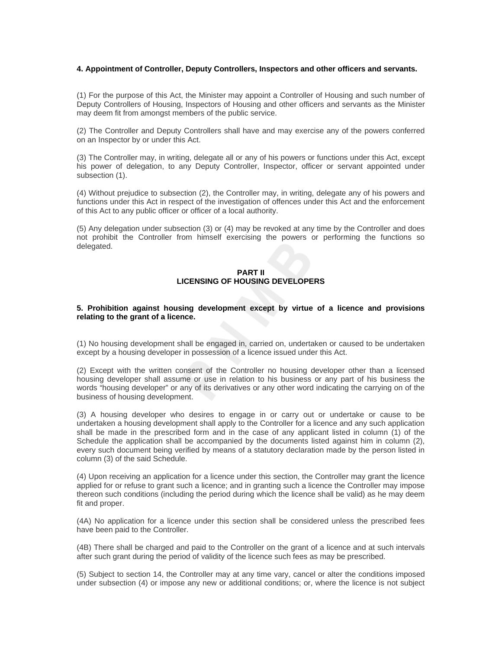### **4. Appointment of Controller, Deputy Controllers, Inspectors and other officers and servants.**

(1) For the purpose of this Act, the Minister may appoint a Controller of Housing and such number of Deputy Controllers of Housing, Inspectors of Housing and other officers and servants as the Minister may deem fit from amongst members of the public service.

(2) The Controller and Deputy Controllers shall have and may exercise any of the powers conferred on an Inspector by or under this Act.

(3) The Controller may, in writing, delegate all or any of his powers or functions under this Act, except his power of delegation, to any Deputy Controller, Inspector, officer or servant appointed under subsection (1).

(4) Without prejudice to subsection (2), the Controller may, in writing, delegate any of his powers and functions under this Act in respect of the investigation of offences under this Act and the enforcement of this Act to any public officer or officer of a local authority.

(5) Any delegation under subsection (3) or (4) may be revoked at any time by the Controller and does not prohibit the Controller from himself exercising the powers or performing the functions so delegated.

### **PART II LICENSING OF HOUSING DEVELOPERS**

### **5. Prohibition against housing development except by virtue of a licence and provisions relating to the grant of a licence.**

(1) No housing development shall be engaged in, carried on, undertaken or caused to be undertaken except by a housing developer in possession of a licence issued under this Act.

(2) Except with the written consent of the Controller no housing developer other than a licensed housing developer shall assume or use in relation to his business or any part of his business the words "housing developer" or any of its derivatives or any other word indicating the carrying on of the business of housing development.

(3) A housing developer who desires to engage in or carry out or undertake or cause to be undertaken a housing development shall apply to the Controller for a licence and any such application shall be made in the prescribed form and in the case of any applicant listed in column (1) of the Schedule the application shall be accompanied by the documents listed against him in column (2), every such document being verified by means of a statutory declaration made by the person listed in column (3) of the said Schedule.

(4) Upon receiving an application for a licence under this section, the Controller may grant the licence applied for or refuse to grant such a licence; and in granting such a licence the Controller may impose thereon such conditions (including the period during which the licence shall be valid) as he may deem fit and proper.

(4A) No application for a licence under this section shall be considered unless the prescribed fees have been paid to the Controller.

(4B) There shall be charged and paid to the Controller on the grant of a licence and at such intervals after such grant during the period of validity of the licence such fees as may be prescribed.

(5) Subject to section 14, the Controller may at any time vary, cancel or alter the conditions imposed under subsection (4) or impose any new or additional conditions; or, where the licence is not subject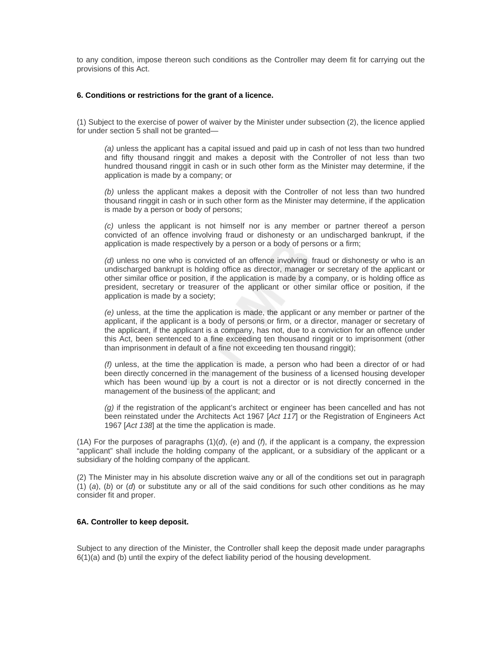to any condition, impose thereon such conditions as the Controller may deem fit for carrying out the provisions of this Act.

### **6. Conditions or restrictions for the grant of a licence.**

(1) Subject to the exercise of power of waiver by the Minister under subsection (2), the licence applied for under section 5 shall not be granted—

*(a)* unless the applicant has a capital issued and paid up in cash of not less than two hundred and fifty thousand ringgit and makes a deposit with the Controller of not less than two hundred thousand ringgit in cash or in such other form as the Minister may determine, if the application is made by a company; or

*(b)* unless the applicant makes a deposit with the Controller of not less than two hundred thousand ringgit in cash or in such other form as the Minister may determine, if the application is made by a person or body of persons;

*(c)* unless the applicant is not himself nor is any member or partner thereof a person convicted of an offence involving fraud or dishonesty or an undischarged bankrupt, if the application is made respectively by a person or a body of persons or a firm;

*(d)* unless no one who is convicted of an offence involving fraud or dishonesty or who is an undischarged bankrupt is holding office as director, manager or secretary of the applicant or other similar office or position, if the application is made by a company, or is holding office as president, secretary or treasurer of the applicant or other similar office or position, if the application is made by a society;

*(e)* unless, at the time the application is made, the applicant or any member or partner of the applicant, if the applicant is a body of persons or firm, or a director, manager or secretary of the applicant, if the applicant is a company, has not, due to a conviction for an offence under this Act, been sentenced to a fine exceeding ten thousand ringgit or to imprisonment (other than imprisonment in default of a fine not exceeding ten thousand ringgit);

*(f)* unless, at the time the application is made, a person who had been a director of or had been directly concerned in the management of the business of a licensed housing developer which has been wound up by a court is not a director or is not directly concerned in the management of the business of the applicant; and

*(g)* if the registration of the applicant's architect or engineer has been cancelled and has not been reinstated under the Architects Act 1967 [*Act 117*] or the Registration of Engineers Act 1967 [*Act 138*] at the time the application is made.

(1A) For the purposes of paragraphs (1)(*d*), (*e*) and (*f*), if the applicant is a company, the expression "applicant" shall include the holding company of the applicant, or a subsidiary of the applicant or a subsidiary of the holding company of the applicant.

(2) The Minister may in his absolute discretion waive any or all of the conditions set out in paragraph (1) (*a*), (*b*) or (*d*) or substitute any or all of the said conditions for such other conditions as he may consider fit and proper.

### **6A. Controller to keep deposit.**

Subject to any direction of the Minister, the Controller shall keep the deposit made under paragraphs 6(1)(a) and (b) until the expiry of the defect liability period of the housing development.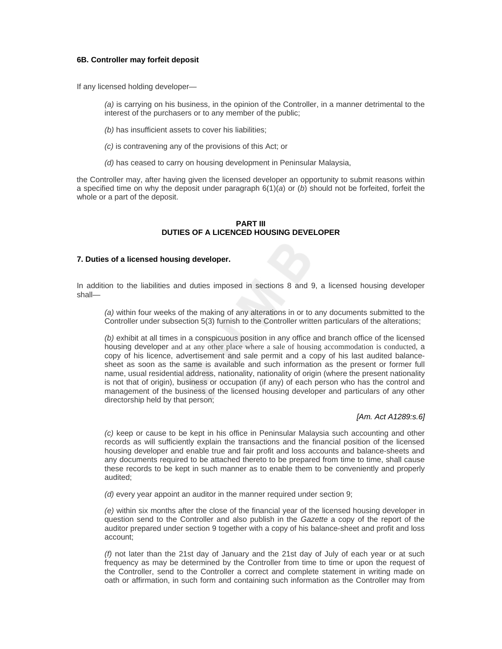### **6B. Controller may forfeit deposit**

If any licensed holding developer—

*(a)* is carrying on his business, in the opinion of the Controller, in a manner detrimental to the interest of the purchasers or to any member of the public;

- *(b)* has insufficient assets to cover his liabilities;
- *(c)* is contravening any of the provisions of this Act; or
- *(d)* has ceased to carry on housing development in Peninsular Malaysia,

the Controller may, after having given the licensed developer an opportunity to submit reasons within a specified time on why the deposit under paragraph 6(1)(*a*) or (*b*) should not be forfeited, forfeit the whole or a part of the deposit.

### **PART III DUTIES OF A LICENCED HOUSING DEVELOPER**

#### **7. Duties of a licensed housing developer.**

In addition to the liabilities and duties imposed in sections 8 and 9, a licensed housing developer shall—

*(a)* within four weeks of the making of any alterations in or to any documents submitted to the Controller under subsection 5(3) furnish to the Controller written particulars of the alterations;

*(b)* exhibit at all times in a conspicuous position in any office and branch office of the licensed housing developer and at any other place where a sale of housing accommodation is conducted, a copy of his licence, advertisement and sale permit and a copy of his last audited balancesheet as soon as the same is available and such information as the present or former full name, usual residential address, nationality, nationality of origin (where the present nationality is not that of origin), business or occupation (if any) of each person who has the control and management of the business of the licensed housing developer and particulars of any other directorship held by that person;

#### *[Am. Act A1289:s.6]*

*(c)* keep or cause to be kept in his office in Peninsular Malaysia such accounting and other records as will sufficiently explain the transactions and the financial position of the licensed housing developer and enable true and fair profit and loss accounts and balance-sheets and any documents required to be attached thereto to be prepared from time to time, shall cause these records to be kept in such manner as to enable them to be conveniently and properly audited;

*(d)* every year appoint an auditor in the manner required under section 9;

*(e)* within six months after the close of the financial year of the licensed housing developer in question send to the Controller and also publish in the *Gazette* a copy of the report of the auditor prepared under section 9 together with a copy of his balance-sheet and profit and loss account;

*(f)* not later than the 21st day of January and the 21st day of July of each year or at such frequency as may be determined by the Controller from time to time or upon the request of the Controller, send to the Controller a correct and complete statement in writing made on oath or affirmation, in such form and containing such information as the Controller may from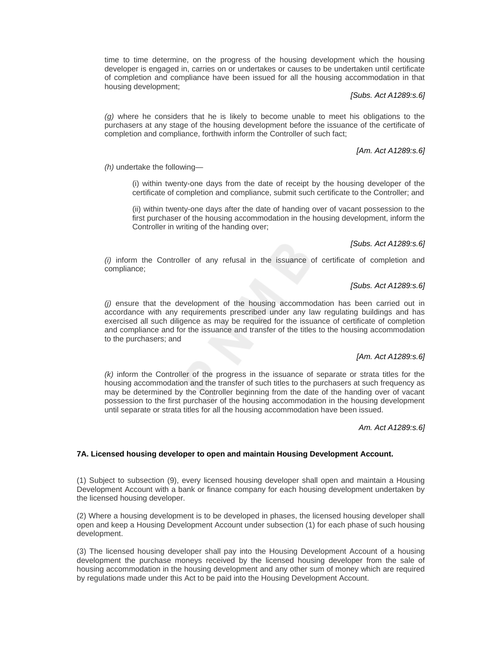time to time determine, on the progress of the housing development which the housing developer is engaged in, carries on or undertakes or causes to be undertaken until certificate of completion and compliance have been issued for all the housing accommodation in that housing development;

# *[Subs. Act A1289:s.6]*

*(g)* where he considers that he is likely to become unable to meet his obligations to the purchasers at any stage of the housing development before the issuance of the certificate of completion and compliance, forthwith inform the Controller of such fact;

## *[Am. Act A1289:s.6]*

*(h)* undertake the following—

(i) within twenty-one days from the date of receipt by the housing developer of the certificate of completion and compliance, submit such certificate to the Controller; and

(ii) within twenty-one days after the date of handing over of vacant possession to the first purchaser of the housing accommodation in the housing development, inform the Controller in writing of the handing over;

### *[Subs. Act A1289:s.6]*

*(i)* inform the Controller of any refusal in the issuance of certificate of completion and compliance;

## *[Subs. Act A1289:s.6]*

*(j)* ensure that the development of the housing accommodation has been carried out in accordance with any requirements prescribed under any law regulating buildings and has exercised all such diligence as may be required for the issuance of certificate of completion and compliance and for the issuance and transfer of the titles to the housing accommodation to the purchasers; and

## *[Am. Act A1289:s.6]*

*(k)* inform the Controller of the progress in the issuance of separate or strata titles for the housing accommodation and the transfer of such titles to the purchasers at such frequency as may be determined by the Controller beginning from the date of the handing over of vacant possession to the first purchaser of the housing accommodation in the housing development until separate or strata titles for all the housing accommodation have been issued.

### *Am. Act A1289:s.6]*

#### **7A. Licensed housing developer to open and maintain Housing Development Account.**

(1) Subject to subsection (9), every licensed housing developer shall open and maintain a Housing Development Account with a bank or finance company for each housing development undertaken by the licensed housing developer.

(2) Where a housing development is to be developed in phases, the licensed housing developer shall open and keep a Housing Development Account under subsection (1) for each phase of such housing development.

(3) The licensed housing developer shall pay into the Housing Development Account of a housing development the purchase moneys received by the licensed housing developer from the sale of housing accommodation in the housing development and any other sum of money which are required by regulations made under this Act to be paid into the Housing Development Account.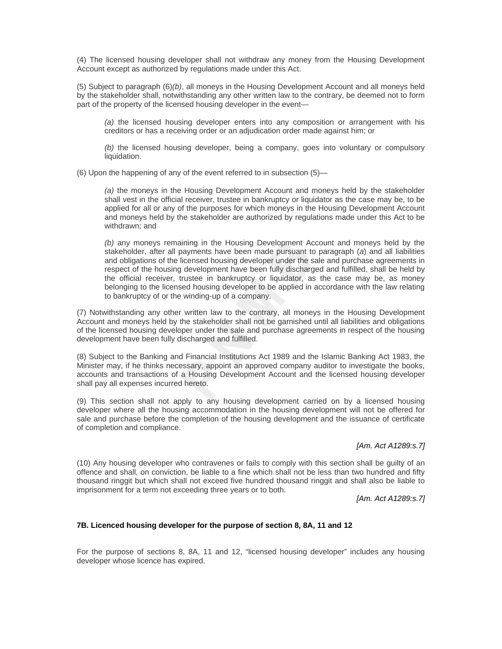(4) The licensed housing developer shall not withdraw any money from the Housing Development Account except as authorized by regulations made under this Act.

(5) Subject to paragraph (6)*(b)*, all moneys in the Housing Development Account and all moneys held by the stakeholder shall, notwithstanding any other written law to the contrary, be deemed not to form part of the property of the licensed housing developer in the event—

*(a)* the licensed housing developer enters into any composition or arrangement with his creditors or has a receiving order or an adjudication order made against him; or

*(b)* the licensed housing developer, being a company, goes into voluntary or compulsory liquidation.

(6) Upon the happening of any of the event referred to in subsection (5)—

*(a)* the moneys in the Housing Development Account and moneys held by the stakeholder shall vest in the official receiver, trustee in bankruptcy or liquidator as the case may be, to be applied for all or any of the purposes for which moneys in the Housing Development Account and moneys held by the stakeholder are authorized by regulations made under this Act to be withdrawn; and

*(b)* any moneys remaining in the Housing Development Account and moneys held by the stakeholder, after all payments have been made pursuant to paragraph (*a*) and all liabilities and obligations of the licensed housing developer under the sale and purchase agreements in respect of the housing development have been fully discharged and fulfilled, shall be held by the official receiver, trustee in bankruptcy or liquidator, as the case may be, as money belonging to the licensed housing developer to be applied in accordance with the law relating to bankruptcy of or the winding-up of a company.

(7) Notwithstanding any other written law to the contrary, all moneys in the Housing Development Account and moneys held by the stakeholder shall not be garnished until all liabilities and obligations of the licensed housing developer under the sale and purchase agreements in respect of the housing development have been fully discharged and fulfilled.

(8) Subject to the Banking and Financial Institutions Act 1989 and the Islamic Banking Act 1983, the Minister may, if he thinks necessary, appoint an approved company auditor to investigate the books, accounts and transactions of a Housing Development Account and the licensed housing developer shall pay all expenses incurred hereto.

(9) This section shall not apply to any housing development carried on by a licensed housing developer where all the housing accommodation in the housing development will not be offered for sale and purchase before the completion of the housing development and the issuance of certificate of completion and compliance.

# *[Am. Act A1289:s.7]*

(10) Any housing developer who contravenes or fails to comply with this section shall be guilty of an offence and shall, on conviction, be liable to a fine which shall not be less than two hundred and fifty thousand ringgit but which shall not exceed five hundred thousand ringgit and shall also be liable to imprisonment for a term not exceeding three years or to both.

*[Am. Act A1289:s.7]*

## **7B. Licenced housing developer for the purpose of section 8, 8A, 11 and 12**

For the purpose of sections 8, 8A, 11 and 12, "licensed housing developer" includes any housing developer whose licence has expired.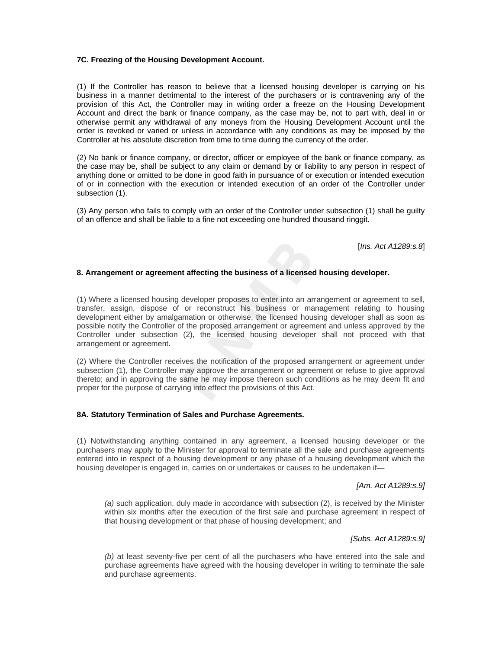### **7C. Freezing of the Housing Development Account.**

(1) If the Controller has reason to believe that a licensed housing developer is carrying on his business in a manner detrimental to the interest of the purchasers or is contravening any of the provision of this Act, the Controller may in writing order a freeze on the Housing Development Account and direct the bank or finance company, as the case may be, not to part with, deal in or otherwise permit any withdrawal of any moneys from the Housing Development Account until the order is revoked or varied or unless in accordance with any conditions as may be imposed by the Controller at his absolute discretion from time to time during the currency of the order.

(2) No bank or finance company, or director, officer or employee of the bank or finance company, as the case may be, shall be subject to any claim or demand by or liability to any person in respect of anything done or omitted to be done in good faith in pursuance of or execution or intended execution of or in connection with the execution or intended execution of an order of the Controller under subsection (1).

(3) Any person who fails to comply with an order of the Controller under subsection (1) shall be guilty of an offence and shall be liable to a fine not exceeding one hundred thousand ringgit.

[*Ins. Act A1289:s.8*]

## **8. Arrangement or agreement affecting the business of a licensed housing developer.**

(1) Where a licensed housing developer proposes to enter into an arrangement or agreement to sell, transfer, assign, dispose of or reconstruct his business or management relating to housing development either by amalgamation or otherwise, the licensed housing developer shall as soon as possible notify the Controller of the proposed arrangement or agreement and unless approved by the Controller under subsection (2), the licensed housing developer shall not proceed with that arrangement or agreement.

(2) Where the Controller receives the notification of the proposed arrangement or agreement under subsection (1), the Controller may approve the arrangement or agreement or refuse to give approval thereto; and in approving the same he may impose thereon such conditions as he may deem fit and proper for the purpose of carrying into effect the provisions of this Act.

## **8A. Statutory Termination of Sales and Purchase Agreements.**

(1) Notwithstanding anything contained in any agreement, a licensed housing developer or the purchasers may apply to the Minister for approval to terminate all the sale and purchase agreements entered into in respect of a housing development or any phase of a housing development which the housing developer is engaged in, carries on or undertakes or causes to be undertaken if—

#### *[Am. Act A1289:s.9]*

*(a)* such application, duly made in accordance with subsection (2), is received by the Minister within six months after the execution of the first sale and purchase agreement in respect of that housing development or that phase of housing development; and

#### *[Subs. Act A1289:s.9]*

*(b)* at least seventy-five per cent of all the purchasers who have entered into the sale and purchase agreements have agreed with the housing developer in writing to terminate the sale and purchase agreements.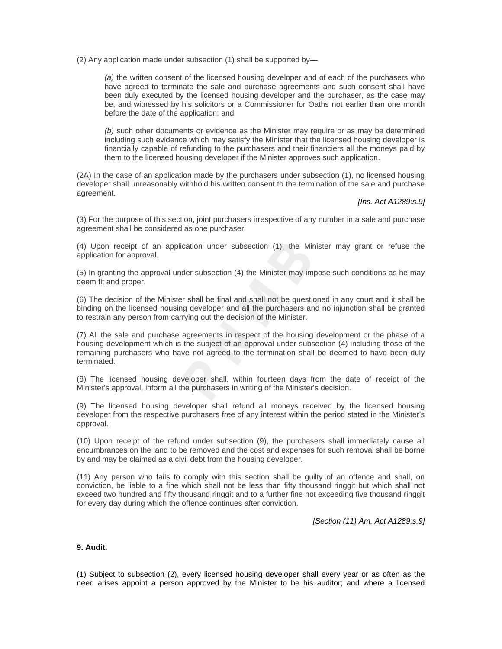(2) Any application made under subsection (1) shall be supported by—

*(a)* the written consent of the licensed housing developer and of each of the purchasers who have agreed to terminate the sale and purchase agreements and such consent shall have been duly executed by the licensed housing developer and the purchaser, as the case may be, and witnessed by his solicitors or a Commissioner for Oaths not earlier than one month before the date of the application; and

*(b)* such other documents or evidence as the Minister may require or as may be determined including such evidence which may satisfy the Minister that the licensed housing developer is financially capable of refunding to the purchasers and their financiers all the moneys paid by them to the licensed housing developer if the Minister approves such application.

(2A) In the case of an application made by the purchasers under subsection (1), no licensed housing developer shall unreasonably withhold his written consent to the termination of the sale and purchase agreement.

### *[Ins. Act A1289:s.9]*

(3) For the purpose of this section, joint purchasers irrespective of any number in a sale and purchase agreement shall be considered as one purchaser.

(4) Upon receipt of an application under subsection (1), the Minister may grant or refuse the application for approval.

(5) In granting the approval under subsection (4) the Minister may impose such conditions as he may deem fit and proper.

(6) The decision of the Minister shall be final and shall not be questioned in any court and it shall be binding on the licensed housing developer and all the purchasers and no injunction shall be granted to restrain any person from carrying out the decision of the Minister.

(7) All the sale and purchase agreements in respect of the housing development or the phase of a housing development which is the subject of an approval under subsection (4) including those of the remaining purchasers who have not agreed to the termination shall be deemed to have been duly terminated.

(8) The licensed housing developer shall, within fourteen days from the date of receipt of the Minister's approval, inform all the purchasers in writing of the Minister's decision.

(9) The licensed housing developer shall refund all moneys received by the licensed housing developer from the respective purchasers free of any interest within the period stated in the Minister's approval.

(10) Upon receipt of the refund under subsection (9), the purchasers shall immediately cause all encumbrances on the land to be removed and the cost and expenses for such removal shall be borne by and may be claimed as a civil debt from the housing developer.

(11) Any person who fails to comply with this section shall be guilty of an offence and shall, on conviction, be liable to a fine which shall not be less than fifty thousand ringgit but which shall not exceed two hundred and fifty thousand ringgit and to a further fine not exceeding five thousand ringgit for every day during which the offence continues after conviction.

*[Section (11) Am. Act A1289:s.9]*

#### **9. Audit.**

(1) Subject to subsection (2), every licensed housing developer shall every year or as often as the need arises appoint a person approved by the Minister to be his auditor; and where a licensed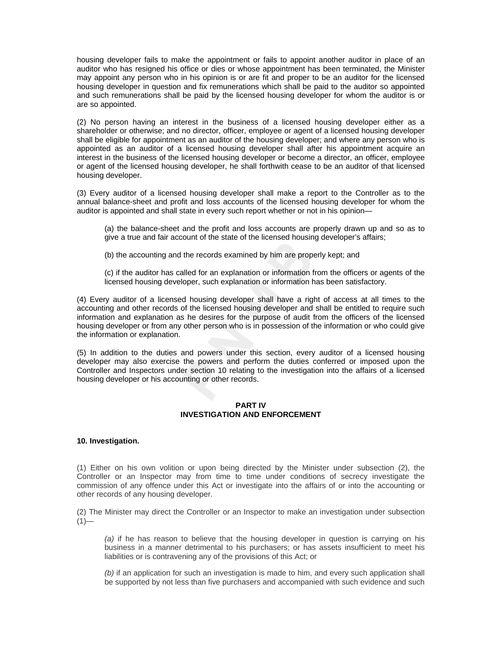housing developer fails to make the appointment or fails to appoint another auditor in place of an auditor who has resigned his office or dies or whose appointment has been terminated, the Minister may appoint any person who in his opinion is or are fit and proper to be an auditor for the licensed housing developer in question and fix remunerations which shall be paid to the auditor so appointed and such remunerations shall be paid by the licensed housing developer for whom the auditor is or are so appointed.

(2) No person having an interest in the business of a licensed housing developer either as a shareholder or otherwise; and no director, officer, employee or agent of a licensed housing developer shall be eligible for appointment as an auditor of the housing developer; and where any person who is appointed as an auditor of a licensed housing developer shall after his appointment acquire an interest in the business of the licensed housing developer or become a director, an officer, employee or agent of the licensed housing developer, he shall forthwith cease to be an auditor of that licensed housing developer.

(3) Every auditor of a licensed housing developer shall make a report to the Controller as to the annual balance-sheet and profit and loss accounts of the licensed housing developer for whom the auditor is appointed and shall state in every such report whether or not in his opinion—

(a) the balance-sheet and the profit and loss accounts are properly drawn up and so as to give a true and fair account of the state of the licensed housing developer's affairs;

(b) the accounting and the records examined by him are properly kept; and

(c) if the auditor has called for an explanation or information from the officers or agents of the licensed housing developer, such explanation or information has been satisfactory.

(4) Every auditor of a licensed housing developer shall have a right of access at all times to the accounting and other records of the licensed housing developer and shall be entitled to require such information and explanation as he desires for the purpose of audit from the officers of the licensed housing developer or from any other person who is in possession of the information or who could give the information or explanation.

(5) In addition to the duties and powers under this section, every auditor of a licensed housing developer may also exercise the powers and perform the duties conferred or imposed upon the Controller and Inspectors under section 10 relating to the investigation into the affairs of a licensed housing developer or his accounting or other records.

# **PART IV INVESTIGATION AND ENFORCEMENT**

## **10. Investigation.**

(1) Either on his own volition or upon being directed by the Minister under subsection (2), the Controller or an Inspector may from time to time under conditions of secrecy investigate the commission of any offence under this Act or investigate into the affairs of or into the accounting or other records of any housing developer.

(2) The Minister may direct the Controller or an Inspector to make an investigation under subsection  $(1)$ —

*(a)* if he has reason to believe that the housing developer in question is carrying on his business in a manner detrimental to his purchasers; or has assets insufficient to meet his liabilities or is contravening any of the provisions of this Act; or

*(b)* if an application for such an investigation is made to him, and every such application shall be supported by not less than five purchasers and accompanied with such evidence and such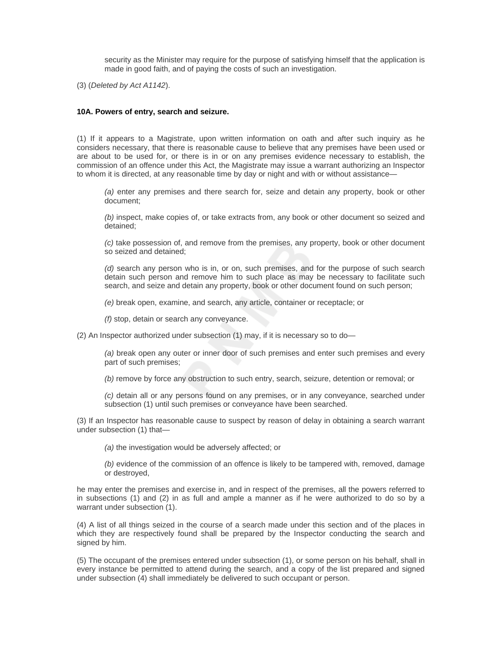security as the Minister may require for the purpose of satisfying himself that the application is made in good faith, and of paying the costs of such an investigation.

(3) (*Deleted by Act A1142*).

### **10A. Powers of entry, search and seizure.**

(1) If it appears to a Magistrate, upon written information on oath and after such inquiry as he considers necessary, that there is reasonable cause to believe that any premises have been used or are about to be used for, or there is in or on any premises evidence necessary to establish, the commission of an offence under this Act, the Magistrate may issue a warrant authorizing an Inspector to whom it is directed, at any reasonable time by day or night and with or without assistance—

*(a)* enter any premises and there search for, seize and detain any property, book or other document;

*(b)* inspect, make copies of, or take extracts from, any book or other document so seized and detained;

*(c)* take possession of, and remove from the premises, any property, book or other document so seized and detained;

*(d)* search any person who is in, or on, such premises, and for the purpose of such search detain such person and remove him to such place as may be necessary to facilitate such search, and seize and detain any property, book or other document found on such person;

*(e)* break open, examine, and search, any article, container or receptacle; or

*(f)* stop, detain or search any conveyance.

(2) An Inspector authorized under subsection (1) may, if it is necessary so to do—

*(a)* break open any outer or inner door of such premises and enter such premises and every part of such premises;

*(b)* remove by force any obstruction to such entry, search, seizure, detention or removal; or

*(c)* detain all or any persons found on any premises, or in any conveyance, searched under subsection (1) until such premises or conveyance have been searched.

(3) If an Inspector has reasonable cause to suspect by reason of delay in obtaining a search warrant under subsection (1) that—

*(a)* the investigation would be adversely affected; or

*(b)* evidence of the commission of an offence is likely to be tampered with, removed, damage or destroyed,

he may enter the premises and exercise in, and in respect of the premises, all the powers referred to in subsections (1) and (2) in as full and ample a manner as if he were authorized to do so by a warrant under subsection (1).

(4) A list of all things seized in the course of a search made under this section and of the places in which they are respectively found shall be prepared by the Inspector conducting the search and signed by him.

(5) The occupant of the premises entered under subsection (1), or some person on his behalf, shall in every instance be permitted to attend during the search, and a copy of the list prepared and signed under subsection (4) shall immediately be delivered to such occupant or person.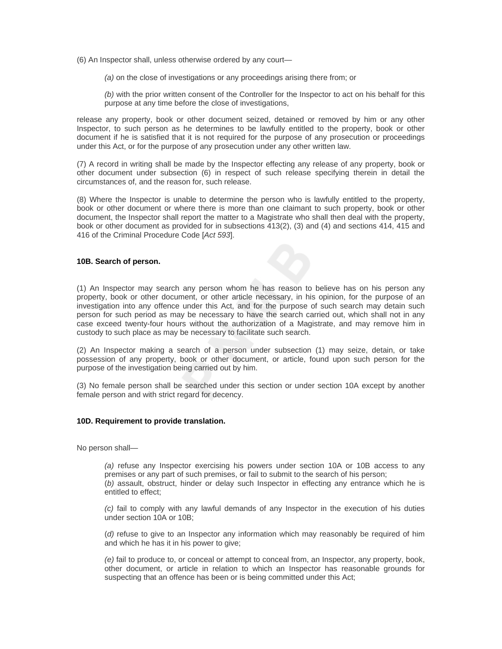(6) An Inspector shall, unless otherwise ordered by any court—

*(a)* on the close of investigations or any proceedings arising there from; or

*(b)* with the prior written consent of the Controller for the Inspector to act on his behalf for this purpose at any time before the close of investigations,

release any property, book or other document seized, detained or removed by him or any other Inspector, to such person as he determines to be lawfully entitled to the property, book or other document if he is satisfied that it is not required for the purpose of any prosecution or proceedings under this Act, or for the purpose of any prosecution under any other written law.

(7) A record in writing shall be made by the Inspector effecting any release of any property, book or other document under subsection (6) in respect of such release specifying therein in detail the circumstances of, and the reason for, such release.

(8) Where the Inspector is unable to determine the person who is lawfully entitled to the property, book or other document or where there is more than one claimant to such property, book or other document, the Inspector shall report the matter to a Magistrate who shall then deal with the property, book or other document as provided for in subsections 413(2), (3) and (4) and sections 414, 415 and 416 of the Criminal Procedure Code [*Act 593*].

## **10B. Search of person.**

(1) An Inspector may search any person whom he has reason to believe has on his person any property, book or other document, or other article necessary, in his opinion, for the purpose of an investigation into any offence under this Act, and for the purpose of such search may detain such person for such period as may be necessary to have the search carried out, which shall not in any case exceed twenty-four hours without the authorization of a Magistrate, and may remove him in custody to such place as may be necessary to facilitate such search.

(2) An Inspector making a search of a person under subsection (1) may seize, detain, or take possession of any property, book or other document, or article, found upon such person for the purpose of the investigation being carried out by him.

(3) No female person shall be searched under this section or under section 10A except by another female person and with strict regard for decency.

#### **10D. Requirement to provide translation.**

No person shall—

*(a)* refuse any Inspector exercising his powers under section 10A or 10B access to any premises or any part of such premises, or fail to submit to the search of his person; (*b)* assault, obstruct, hinder or delay such Inspector in effecting any entrance which he is entitled to effect;

*(c)* fail to comply with any lawful demands of any Inspector in the execution of his duties under section 10A or 10B;

(*d)* refuse to give to an Inspector any information which may reasonably be required of him and which he has it in his power to give:

*(e)* fail to produce to, or conceal or attempt to conceal from, an Inspector, any property, book, other document, or article in relation to which an Inspector has reasonable grounds for suspecting that an offence has been or is being committed under this Act;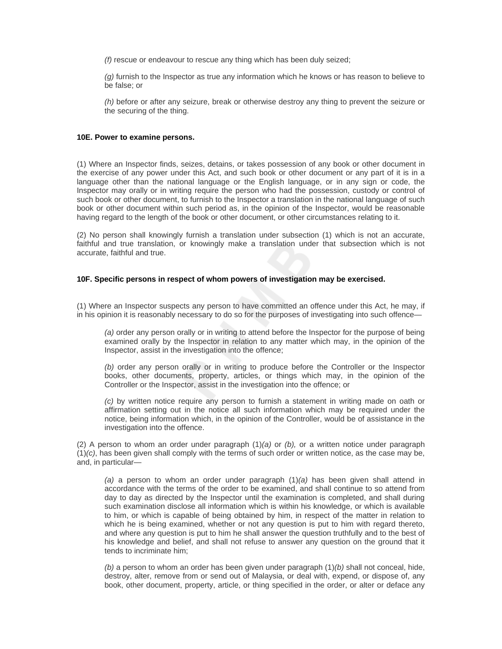*(f)* rescue or endeavour to rescue any thing which has been duly seized;

*(g)* furnish to the Inspector as true any information which he knows or has reason to believe to be false; or

*(h)* before or after any seizure, break or otherwise destroy any thing to prevent the seizure or the securing of the thing.

#### **10E. Power to examine persons.**

(1) Where an Inspector finds, seizes, detains, or takes possession of any book or other document in the exercise of any power under this Act, and such book or other document or any part of it is in a language other than the national language or the English language, or in any sign or code, the Inspector may orally or in writing require the person who had the possession, custody or control of such book or other document, to furnish to the Inspector a translation in the national language of such book or other document within such period as, in the opinion of the Inspector, would be reasonable having regard to the length of the book or other document, or other circumstances relating to it.

(2) No person shall knowingly furnish a translation under subsection (1) which is not an accurate, faithful and true translation, or knowingly make a translation under that subsection which is not accurate, faithful and true.

# **10F. Specific persons in respect of whom powers of investigation may be exercised.**

(1) Where an Inspector suspects any person to have committed an offence under this Act, he may, if in his opinion it is reasonably necessary to do so for the purposes of investigating into such offence—

*(a)* order any person orally or in writing to attend before the Inspector for the purpose of being examined orally by the Inspector in relation to any matter which may, in the opinion of the Inspector, assist in the investigation into the offence;

*(b)* order any person orally or in writing to produce before the Controller or the Inspector books, other documents, property, articles, or things which may, in the opinion of the Controller or the Inspector, assist in the investigation into the offence; or

*(c)* by written notice require any person to furnish a statement in writing made on oath or affirmation setting out in the notice all such information which may be required under the notice, being information which, in the opinion of the Controller, would be of assistance in the investigation into the offence.

(2) A person to whom an order under paragraph (1)*(a)* or *(b),* or a written notice under paragraph  $(1)(c)$ , has been given shall comply with the terms of such order or written notice, as the case may be, and, in particular—

*(a)* a person to whom an order under paragraph (1)*(a)* has been given shall attend in accordance with the terms of the order to be examined, and shall continue to so attend from day to day as directed by the Inspector until the examination is completed, and shall during such examination disclose all information which is within his knowledge, or which is available to him, or which is capable of being obtained by him, in respect of the matter in relation to which he is being examined, whether or not any question is put to him with regard thereto, and where any question is put to him he shall answer the question truthfully and to the best of his knowledge and belief, and shall not refuse to answer any question on the ground that it tends to incriminate him;

*(b)* a person to whom an order has been given under paragraph (1)*(b)* shall not conceal, hide, destroy, alter, remove from or send out of Malaysia, or deal with, expend, or dispose of, any book, other document, property, article, or thing specified in the order, or alter or deface any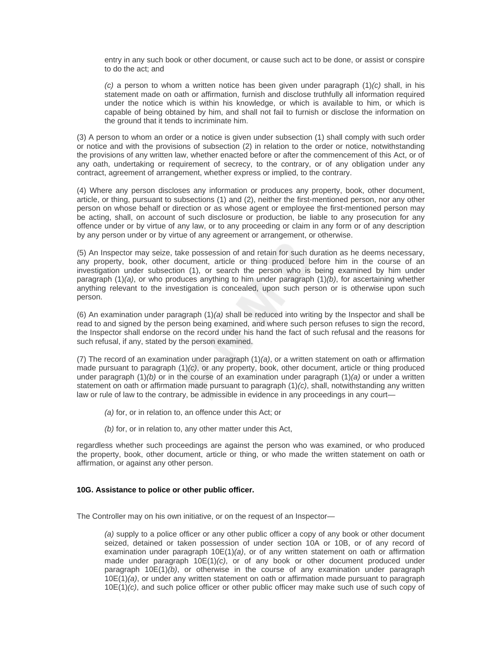entry in any such book or other document, or cause such act to be done, or assist or conspire to do the act; and

*(c)* a person to whom a written notice has been given under paragraph (1)*(c)* shall, in his statement made on oath or affirmation, furnish and disclose truthfully all information required under the notice which is within his knowledge, or which is available to him, or which is capable of being obtained by him, and shall not fail to furnish or disclose the information on the ground that it tends to incriminate him.

(3) A person to whom an order or a notice is given under subsection (1) shall comply with such order or notice and with the provisions of subsection (2) in relation to the order or notice, notwithstanding the provisions of any written law, whether enacted before or after the commencement of this Act, or of any oath, undertaking or requirement of secrecy, to the contrary, or of any obligation under any contract, agreement of arrangement, whether express or implied, to the contrary.

(4) Where any person discloses any information or produces any property, book, other document, article, or thing, pursuant to subsections (1) and (2), neither the first-mentioned person, nor any other person on whose behalf or direction or as whose agent or employee the first-mentioned person may be acting, shall, on account of such disclosure or production, be liable to any prosecution for any offence under or by virtue of any law, or to any proceeding or claim in any form or of any description by any person under or by virtue of any agreement or arrangement, or otherwise.

(5) An Inspector may seize, take possession of and retain for such duration as he deems necessary, any property, book, other document, article or thing produced before him in the course of an investigation under subsection (1), or search the person who is being examined by him under paragraph (1)*(a)*, or who produces anything to him under paragraph (1)*(b)*, for ascertaining whether anything relevant to the investigation is concealed, upon such person or is otherwise upon such person.

(6) An examination under paragraph (1)*(a)* shall be reduced into writing by the Inspector and shall be read to and signed by the person being examined, and where such person refuses to sign the record, the Inspector shall endorse on the record under his hand the fact of such refusal and the reasons for such refusal, if any, stated by the person examined.

(7) The record of an examination under paragraph (1)*(a)*, or a written statement on oath or affirmation made pursuant to paragraph (1)*(c)*, or any property, book, other document, article or thing produced under paragraph (1)*(b)* or in the course of an examination under paragraph (1)*(a)* or under a written statement on oath or affirmation made pursuant to paragraph (1)*(c)*, shall, notwithstanding any written law or rule of law to the contrary, be admissible in evidence in any proceedings in any court—

- *(a)* for, or in relation to, an offence under this Act; or
- *(b)* for, or in relation to, any other matter under this Act,

regardless whether such proceedings are against the person who was examined, or who produced the property, book, other document, article or thing, or who made the written statement on oath or affirmation, or against any other person.

## **10G. Assistance to police or other public officer.**

The Controller may on his own initiative, or on the request of an Inspector—

*(a)* supply to a police officer or any other public officer a copy of any book or other document seized, detained or taken possession of under section 10A or 10B, or of any record of examination under paragraph 10E(1)*(a)*, or of any written statement on oath or affirmation made under paragraph 10E(1)*(c)*, or of any book or other document produced under paragraph 10E(1)*(b)*, or otherwise in the course of any examination under paragraph 10E(1)*(a)*, or under any written statement on oath or affirmation made pursuant to paragraph 10E(1)*(c)*, and such police officer or other public officer may make such use of such copy of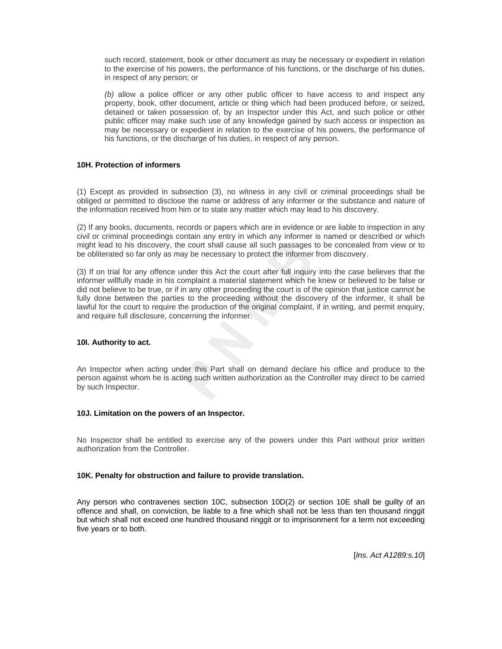such record, statement, book or other document as may be necessary or expedient in relation to the exercise of his powers, the performance of his functions, or the discharge of his duties, in respect of any person; or

*(b)* allow a police officer or any other public officer to have access to and inspect any property, book, other document, article or thing which had been produced before, or seized, detained or taken possession of, by an Inspector under this Act, and such police or other public officer may make such use of any knowledge gained by such access or inspection as may be necessary or expedient in relation to the exercise of his powers, the performance of his functions, or the discharge of his duties, in respect of any person.

## **10H. Protection of informers**

(1) Except as provided in subsection (3), no witness in any civil or criminal proceedings shall be obliged or permitted to disclose the name or address of any informer or the substance and nature of the information received from him or to state any matter which may lead to his discovery.

(2) If any books, documents, records or papers which are in evidence or are liable to inspection in any civil or criminal proceedings contain any entry in which any informer is named or described or which might lead to his discovery, the court shall cause all such passages to be concealed from view or to be obliterated so far only as may be necessary to protect the informer from discovery.

(3) If on trial for any offence under this Act the court after full inquiry into the case believes that the informer willfully made in his complaint a material statement which he knew or believed to be false or did not believe to be true, or if in any other proceeding the court is of the opinion that justice cannot be fully done between the parties to the proceeding without the discovery of the informer, it shall be lawful for the court to require the production of the original complaint, if in writing, and permit enquiry, and require full disclosure, concerning the informer.

## **10I. Authority to act.**

An Inspector when acting under this Part shall on demand declare his office and produce to the person against whom he is acting such written authorization as the Controller may direct to be carried by such Inspector.

## **10J. Limitation on the powers of an Inspector.**

No Inspector shall be entitled to exercise any of the powers under this Part without prior written authorization from the Controller.

# **10K. Penalty for obstruction and failure to provide translation.**

Any person who contravenes section 10C, subsection 10D(2) or section 10E shall be guilty of an offence and shall, on conviction, be liable to a fine which shall not be less than ten thousand ringgit but which shall not exceed one hundred thousand ringgit or to imprisonment for a term not exceeding five years or to both.

[*Ins. Act A1289:s.10*]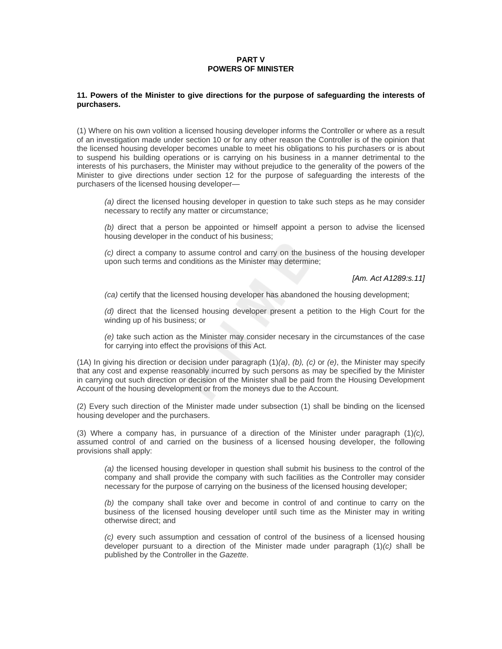# **PART V POWERS OF MINISTER**

### **11. Powers of the Minister to give directions for the purpose of safeguarding the interests of purchasers.**

(1) Where on his own volition a licensed housing developer informs the Controller or where as a result of an investigation made under section 10 or for any other reason the Controller is of the opinion that the licensed housing developer becomes unable to meet his obligations to his purchasers or is about to suspend his building operations or is carrying on his business in a manner detrimental to the interests of his purchasers, the Minister may without prejudice to the generality of the powers of the Minister to give directions under section 12 for the purpose of safeguarding the interests of the purchasers of the licensed housing developer—

*(a)* direct the licensed housing developer in question to take such steps as he may consider necessary to rectify any matter or circumstance;

*(b)* direct that a person be appointed or himself appoint a person to advise the licensed housing developer in the conduct of his business;

*(c)* direct a company to assume control and carry on the business of the housing developer upon such terms and conditions as the Minister may determine;

*[Am. Act A1289:s.11]*

*(ca)* certify that the licensed housing developer has abandoned the housing development;

*(d)* direct that the licensed housing developer present a petition to the High Court for the winding up of his business; or

*(e)* take such action as the Minister may consider necesary in the circumstances of the case for carrying into effect the provisions of this Act.

(1A) In giving his direction or decision under paragraph (1)*(a)*, *(b), (c)* or *(e)*, the Minister may specify that any cost and expense reasonably incurred by such persons as may be specified by the Minister in carrying out such direction or decision of the Minister shall be paid from the Housing Development Account of the housing development or from the moneys due to the Account.

(2) Every such direction of the Minister made under subsection (1) shall be binding on the licensed housing developer and the purchasers.

(3) Where a company has, in pursuance of a direction of the Minister under paragraph (1)*(c),*  assumed control of and carried on the business of a licensed housing developer, the following provisions shall apply:

*(a)* the licensed housing developer in question shall submit his business to the control of the company and shall provide the company with such facilities as the Controller may consider necessary for the purpose of carrying on the business of the licensed housing developer;

*(b)* the company shall take over and become in control of and continue to carry on the business of the licensed housing developer until such time as the Minister may in writing otherwise direct; and

*(c)* every such assumption and cessation of control of the business of a licensed housing developer pursuant to a direction of the Minister made under paragraph (1)*(c)* shall be published by the Controller in the *Gazette*.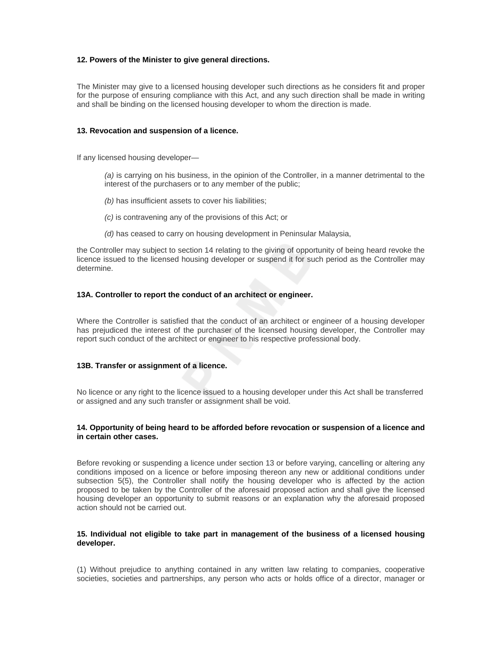# **12. Powers of the Minister to give general directions.**

The Minister may give to a licensed housing developer such directions as he considers fit and proper for the purpose of ensuring compliance with this Act, and any such direction shall be made in writing and shall be binding on the licensed housing developer to whom the direction is made.

# **13. Revocation and suspension of a licence.**

If any licensed housing developer—

*(a)* is carrying on his business, in the opinion of the Controller, in a manner detrimental to the interest of the purchasers or to any member of the public;

- *(b)* has insufficient assets to cover his liabilities;
- *(c)* is contravening any of the provisions of this Act; or
- *(d)* has ceased to carry on housing development in Peninsular Malaysia,

the Controller may subject to section 14 relating to the giving of opportunity of being heard revoke the licence issued to the licensed housing developer or suspend it for such period as the Controller may determine.

# **13A. Controller to report the conduct of an architect or engineer.**

Where the Controller is satisfied that the conduct of an architect or engineer of a housing developer has prejudiced the interest of the purchaser of the licensed housing developer, the Controller may report such conduct of the architect or engineer to his respective professional body.

## **13B. Transfer or assignment of a licence.**

No licence or any right to the licence issued to a housing developer under this Act shall be transferred or assigned and any such transfer or assignment shall be void.

# **14. Opportunity of being heard to be afforded before revocation or suspension of a licence and in certain other cases.**

Before revoking or suspending a licence under section 13 or before varying, cancelling or altering any conditions imposed on a licence or before imposing thereon any new or additional conditions under subsection 5(5), the Controller shall notify the housing developer who is affected by the action proposed to be taken by the Controller of the aforesaid proposed action and shall give the licensed housing developer an opportunity to submit reasons or an explanation why the aforesaid proposed action should not be carried out.

# **15. Individual not eligible to take part in management of the business of a licensed housing developer.**

(1) Without prejudice to anything contained in any written law relating to companies, cooperative societies, societies and partnerships, any person who acts or holds office of a director, manager or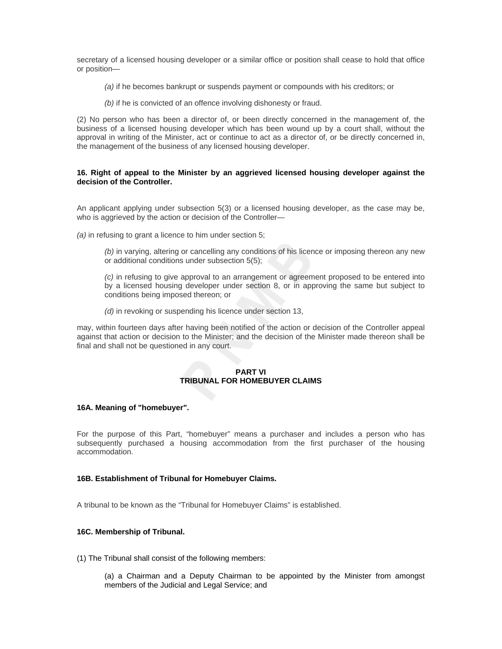secretary of a licensed housing developer or a similar office or position shall cease to hold that office or position—

- *(a)* if he becomes bankrupt or suspends payment or compounds with his creditors; or
- *(b)* if he is convicted of an offence involving dishonesty or fraud.

(2) No person who has been a director of, or been directly concerned in the management of, the business of a licensed housing developer which has been wound up by a court shall, without the approval in writing of the Minister, act or continue to act as a director of, or be directly concerned in, the management of the business of any licensed housing developer.

### **16. Right of appeal to the Minister by an aggrieved licensed housing developer against the decision of the Controller.**

An applicant applying under subsection 5(3) or a licensed housing developer, as the case may be, who is aggrieved by the action or decision of the Controller—

*(a)* in refusing to grant a licence to him under section 5;

*(b)* in varying, altering or cancelling any conditions of his licence or imposing thereon any new or additional conditions under subsection 5(5);

*(c)* in refusing to give approval to an arrangement or agreement proposed to be entered into by a licensed housing developer under section 8, or in approving the same but subject to conditions being imposed thereon; or

*(d)* in revoking or suspending his licence under section 13,

may, within fourteen days after having been notified of the action or decision of the Controller appeal against that action or decision to the Minister; and the decision of the Minister made thereon shall be final and shall not be questioned in any court.

### **PART VI TRIBUNAL FOR HOMEBUYER CLAIMS**

## **16A. Meaning of "homebuyer".**

For the purpose of this Part, "homebuyer" means a purchaser and includes a person who has subsequently purchased a housing accommodation from the first purchaser of the housing accommodation.

### **16B. Establishment of Tribunal for Homebuyer Claims.**

A tribunal to be known as the "Tribunal for Homebuyer Claims" is established.

## **16C. Membership of Tribunal.**

(1) The Tribunal shall consist of the following members:

(a) a Chairman and a Deputy Chairman to be appointed by the Minister from amongst members of the Judicial and Legal Service; and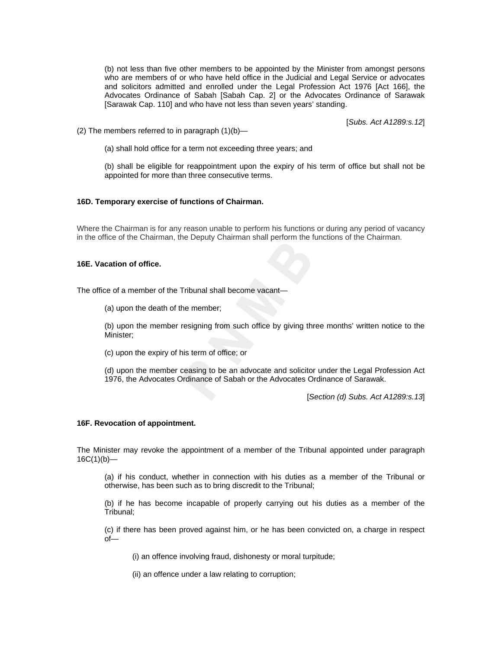(b) not less than five other members to be appointed by the Minister from amongst persons who are members of or who have held office in the Judicial and Legal Service or advocates and solicitors admitted and enrolled under the Legal Profession Act 1976 [Act 166], the Advocates Ordinance of Sabah [Sabah Cap. 2] or the Advocates Ordinance of Sarawak [Sarawak Cap. 110] and who have not less than seven years' standing.

[*Subs. Act A1289:s.12*]

(2) The members referred to in paragraph  $(1)(b)$ —

(a) shall hold office for a term not exceeding three years; and

(b) shall be eligible for reappointment upon the expiry of his term of office but shall not be appointed for more than three consecutive terms.

# **16D. Temporary exercise of functions of Chairman.**

Where the Chairman is for any reason unable to perform his functions or during any period of vacancy in the office of the Chairman, the Deputy Chairman shall perform the functions of the Chairman.

#### **16E. Vacation of office.**

The office of a member of the Tribunal shall become vacant—

(a) upon the death of the member;

(b) upon the member resigning from such office by giving three months' written notice to the Minister;

(c) upon the expiry of his term of office; or

(d) upon the member ceasing to be an advocate and solicitor under the Legal Profession Act 1976, the Advocates Ordinance of Sabah or the Advocates Ordinance of Sarawak.

[*Section (d) Subs. Act A1289:s.13*]

#### **16F. Revocation of appointment.**

The Minister may revoke the appointment of a member of the Tribunal appointed under paragraph  $16C(1)(b)$ —

(a) if his conduct, whether in connection with his duties as a member of the Tribunal or otherwise, has been such as to bring discredit to the Tribunal;

(b) if he has become incapable of properly carrying out his duties as a member of the Tribunal;

(c) if there has been proved against him, or he has been convicted on, a charge in respect of—

(i) an offence involving fraud, dishonesty or moral turpitude;

(ii) an offence under a law relating to corruption;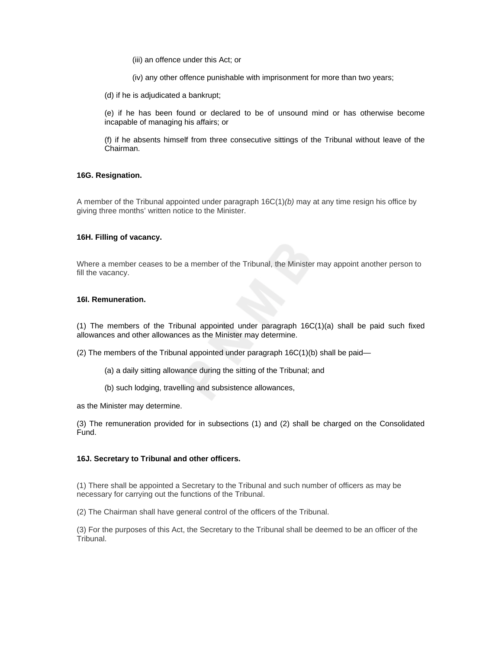(iii) an offence under this Act; or

(iv) any other offence punishable with imprisonment for more than two years;

(d) if he is adjudicated a bankrupt;

(e) if he has been found or declared to be of unsound mind or has otherwise become incapable of managing his affairs; or

(f) if he absents himself from three consecutive sittings of the Tribunal without leave of the Chairman.

## **16G. Resignation.**

A member of the Tribunal appointed under paragraph 16C(1)*(b)* may at any time resign his office by giving three months' written notice to the Minister.

#### **16H. Filling of vacancy.**

Where a member ceases to be a member of the Tribunal, the Minister may appoint another person to fill the vacancy.

## **16I. Remuneration.**

(1) The members of the Tribunal appointed under paragraph 16C(1)(a) shall be paid such fixed allowances and other allowances as the Minister may determine.

(2) The members of the Tribunal appointed under paragraph  $16C(1)(b)$  shall be paid—

- (a) a daily sitting allowance during the sitting of the Tribunal; and
- (b) such lodging, travelling and subsistence allowances,

as the Minister may determine.

(3) The remuneration provided for in subsections (1) and (2) shall be charged on the Consolidated Fund.

# **16J. Secretary to Tribunal and other officers.**

(1) There shall be appointed a Secretary to the Tribunal and such number of officers as may be necessary for carrying out the functions of the Tribunal.

(2) The Chairman shall have general control of the officers of the Tribunal.

(3) For the purposes of this Act, the Secretary to the Tribunal shall be deemed to be an officer of the Tribunal.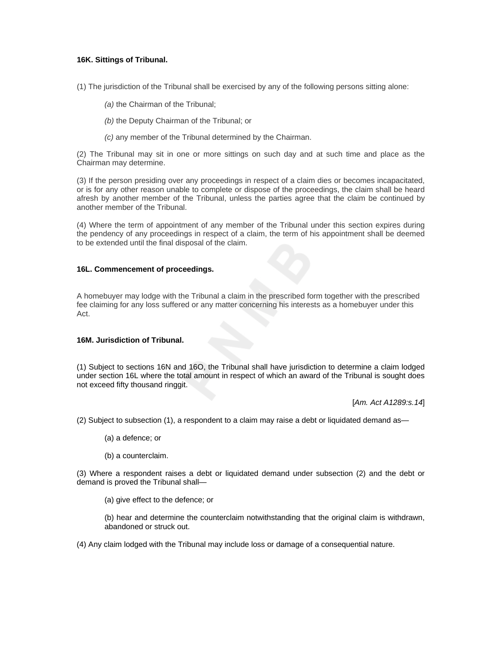# **16K. Sittings of Tribunal.**

(1) The jurisdiction of the Tribunal shall be exercised by any of the following persons sitting alone:

- *(a)* the Chairman of the Tribunal;
- *(b)* the Deputy Chairman of the Tribunal; or
- *(c)* any member of the Tribunal determined by the Chairman.

(2) The Tribunal may sit in one or more sittings on such day and at such time and place as the Chairman may determine.

(3) If the person presiding over any proceedings in respect of a claim dies or becomes incapacitated, or is for any other reason unable to complete or dispose of the proceedings, the claim shall be heard afresh by another member of the Tribunal, unless the parties agree that the claim be continued by another member of the Tribunal.

(4) Where the term of appointment of any member of the Tribunal under this section expires during the pendency of any proceedings in respect of a claim, the term of his appointment shall be deemed to be extended until the final disposal of the claim.

## **16L. Commencement of proceedings.**

A homebuyer may lodge with the Tribunal a claim in the prescribed form together with the prescribed fee claiming for any loss suffered or any matter concerning his interests as a homebuyer under this Act.

# **16M. Jurisdiction of Tribunal.**

(1) Subject to sections 16N and 16O, the Tribunal shall have jurisdiction to determine a claim lodged under section 16L where the total amount in respect of which an award of the Tribunal is sought does not exceed fifty thousand ringgit.

[*Am. Act A1289:s.14*]

(2) Subject to subsection (1), a respondent to a claim may raise a debt or liquidated demand as—

- (a) a defence; or
- (b) a counterclaim.

(3) Where a respondent raises a debt or liquidated demand under subsection (2) and the debt or demand is proved the Tribunal shall—

(a) give effect to the defence; or

(b) hear and determine the counterclaim notwithstanding that the original claim is withdrawn, abandoned or struck out.

(4) Any claim lodged with the Tribunal may include loss or damage of a consequential nature.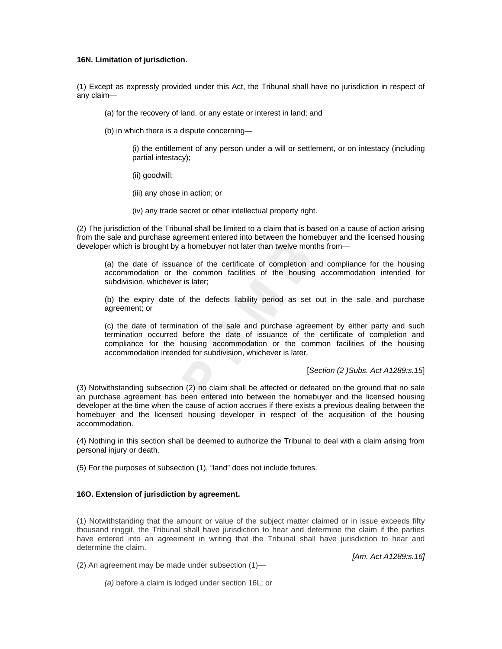## **16N. Limitation of jurisdiction.**

(1) Except as expressly provided under this Act, the Tribunal shall have no jurisdiction in respect of any claim—

- (a) for the recovery of land, or any estate or interest in land; and
- (b) in which there is a dispute concerning—

(i) the entitlement of any person under a will or settlement, or on intestacy (including partial intestacy);

- (ii) goodwill;
- (iii) any chose in action; or
- (iv) any trade secret or other intellectual property right.

(2) The jurisdiction of the Tribunal shall be limited to a claim that is based on a cause of action arising from the sale and purchase agreement entered into between the homebuyer and the licensed housing developer which is brought by a homebuyer not later than twelve months from—

(a) the date of issuance of the certificate of completion and compliance for the housing accommodation or the common facilities of the housing accommodation intended for subdivision, whichever is later;

(b) the expiry date of the defects liability period as set out in the sale and purchase agreement; or

(c) the date of termination of the sale and purchase agreement by either party and such termination occurred before the date of issuance of the certificate of completion and compliance for the housing accommodation or the common facilities of the housing accommodation intended for subdivision, whichever is later.

[*Section (2 )Subs. Act A1289:s.15*]

(3) Notwithstanding subsection (2) no claim shall be affected or defeated on the ground that no sale an purchase agreement has been entered into between the homebuyer and the licensed housing developer at the time when the cause of action accrues if there exists a previous dealing between the homebuyer and the licensed housing developer in respect of the acquisition of the housing accommodation.

(4) Nothing in this section shall be deemed to authorize the Tribunal to deal with a claim arising from personal injury or death.

(5) For the purposes of subsection (1), "land" does not include fixtures.

## **16O. Extension of jurisdiction by agreement.**

(1) Notwithstanding that the amount or value of the subject matter claimed or in issue exceeds fifty thousand ringgit, the Tribunal shall have jurisdiction to hear and determine the claim if the parties have entered into an agreement in writing that the Tribunal shall have jurisdiction to hear and determine the claim.

*[Am. Act A1289:s.16]*

(2) An agreement may be made under subsection (1)—

*(a)* before a claim is lodged under section 16L; or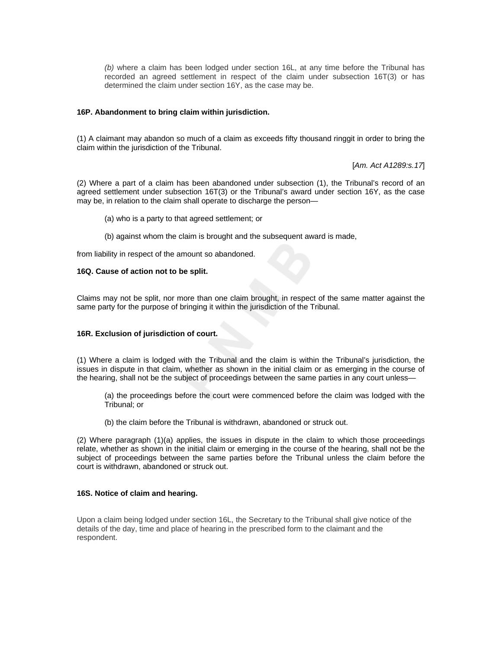*(b)* where a claim has been lodged under section 16L, at any time before the Tribunal has recorded an agreed settlement in respect of the claim under subsection 16T(3) or has determined the claim under section 16Y, as the case may be.

## **16P. Abandonment to bring claim within jurisdiction.**

(1) A claimant may abandon so much of a claim as exceeds fifty thousand ringgit in order to bring the claim within the jurisdiction of the Tribunal.

[*Am. Act A1289:s.17*]

(2) Where a part of a claim has been abandoned under subsection (1), the Tribunal's record of an agreed settlement under subsection 16T(3) or the Tribunal's award under section 16Y, as the case may be, in relation to the claim shall operate to discharge the person—

- (a) who is a party to that agreed settlement; or
- (b) against whom the claim is brought and the subsequent award is made,

from liability in respect of the amount so abandoned.

### **16Q. Cause of action not to be split.**

Claims may not be split, nor more than one claim brought, in respect of the same matter against the same party for the purpose of bringing it within the jurisdiction of the Tribunal.

# **16R. Exclusion of jurisdiction of court.**

(1) Where a claim is lodged with the Tribunal and the claim is within the Tribunal's jurisdiction, the issues in dispute in that claim, whether as shown in the initial claim or as emerging in the course of the hearing, shall not be the subject of proceedings between the same parties in any court unless—

(a) the proceedings before the court were commenced before the claim was lodged with the Tribunal; or

(b) the claim before the Tribunal is withdrawn, abandoned or struck out.

(2) Where paragraph (1)(a) applies, the issues in dispute in the claim to which those proceedings relate, whether as shown in the initial claim or emerging in the course of the hearing, shall not be the subject of proceedings between the same parties before the Tribunal unless the claim before the court is withdrawn, abandoned or struck out.

## **16S. Notice of claim and hearing.**

Upon a claim being lodged under section 16L, the Secretary to the Tribunal shall give notice of the details of the day, time and place of hearing in the prescribed form to the claimant and the respondent.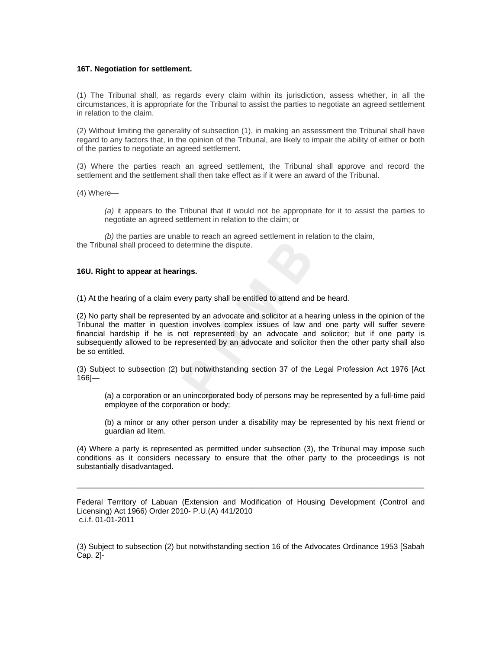### **16T. Negotiation for settlement.**

(1) The Tribunal shall, as regards every claim within its jurisdiction, assess whether, in all the circumstances, it is appropriate for the Tribunal to assist the parties to negotiate an agreed settlement in relation to the claim.

(2) Without limiting the generality of subsection (1), in making an assessment the Tribunal shall have regard to any factors that, in the opinion of the Tribunal, are likely to impair the ability of either or both of the parties to negotiate an agreed settlement.

(3) Where the parties reach an agreed settlement, the Tribunal shall approve and record the settlement and the settlement shall then take effect as if it were an award of the Tribunal.

(4) Where—

*(a)* it appears to the Tribunal that it would not be appropriate for it to assist the parties to negotiate an agreed settlement in relation to the claim; or

*(b)* the parties are unable to reach an agreed settlement in relation to the claim, the Tribunal shall proceed to determine the dispute.

### **16U. Right to appear at hearings.**

(1) At the hearing of a claim every party shall be entitled to attend and be heard.

(2) No party shall be represented by an advocate and solicitor at a hearing unless in the opinion of the Tribunal the matter in question involves complex issues of law and one party will suffer severe financial hardship if he is not represented by an advocate and solicitor; but if one party is subsequently allowed to be represented by an advocate and solicitor then the other party shall also be so entitled.

(3) Subject to subsection (2) but notwithstanding section 37 of the Legal Profession Act 1976 [Act 166]—

(a) a corporation or an unincorporated body of persons may be represented by a full-time paid employee of the corporation or body;

(b) a minor or any other person under a disability may be represented by his next friend or guardian ad litem.

(4) Where a party is represented as permitted under subsection (3), the Tribunal may impose such conditions as it considers necessary to ensure that the other party to the proceedings is not substantially disadvantaged.

Federal Territory of Labuan (Extension and Modification of Housing Development (Control and Licensing) Act 1966) Order 2010- P.U.(A) 441/2010 c.i.f. 01-01-2011

\_\_\_\_\_\_\_\_\_\_\_\_\_\_\_\_\_\_\_\_\_\_\_\_\_\_\_\_\_\_\_\_\_\_\_\_\_\_\_\_\_\_\_\_\_\_\_\_\_\_\_\_\_\_\_\_\_\_\_\_\_\_\_\_\_\_\_\_\_\_\_\_\_\_\_\_\_\_\_\_\_

(3) Subject to subsection (2) but notwithstanding section 16 of the Advocates Ordinance 1953 [Sabah Cap. 2]-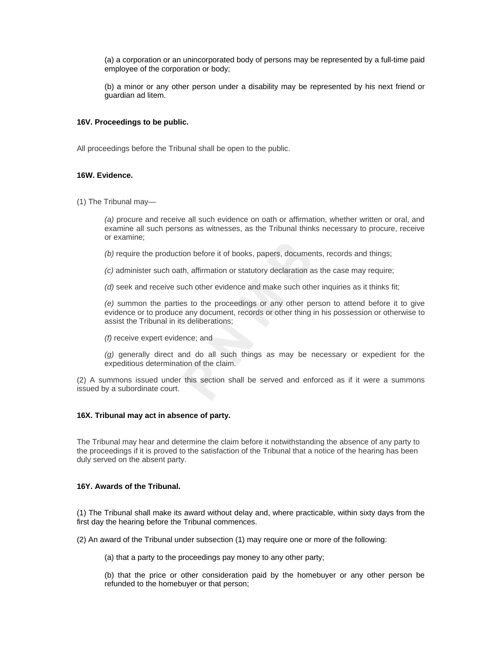(a) a corporation or an unincorporated body of persons may be represented by a full-time paid employee of the corporation or body;

(b) a minor or any other person under a disability may be represented by his next friend or guardian ad litem.

## **16V. Proceedings to be public.**

All proceedings before the Tribunal shall be open to the public.

### **16W. Evidence.**

(1) The Tribunal may—

*(a)* procure and receive all such evidence on oath or affirmation, whether written or oral, and examine all such persons as witnesses, as the Tribunal thinks necessary to procure, receive or examine;

*(b)* require the production before it of books, papers, documents, records and things;

*(c)* administer such oath, affirmation or statutory declaration as the case may require;

*(d)* seek and receive such other evidence and make such other inquiries as it thinks fit;

*(e)* summon the parties to the proceedings or any other person to attend before it to give evidence or to produce any document, records or other thing in his possession or otherwise to assist the Tribunal in its deliberations;

*(f)* receive expert evidence; and

*(g)* generally direct and do all such things as may be necessary or expedient for the expeditious determination of the claim.

(2) A summons issued under this section shall be served and enforced as if it were a summons issued by a subordinate court.

## **16X. Tribunal may act in absence of party.**

The Tribunal may hear and determine the claim before it notwithstanding the absence of any party to the proceedings if it is proved to the satisfaction of the Tribunal that a notice of the hearing has been duly served on the absent party.

# **16Y. Awards of the Tribunal.**

(1) The Tribunal shall make its award without delay and, where practicable, within sixty days from the first day the hearing before the Tribunal commences.

(2) An award of the Tribunal under subsection (1) may require one or more of the following:

(a) that a party to the proceedings pay money to any other party;

(b) that the price or other consideration paid by the homebuyer or any other person be refunded to the homebuyer or that person;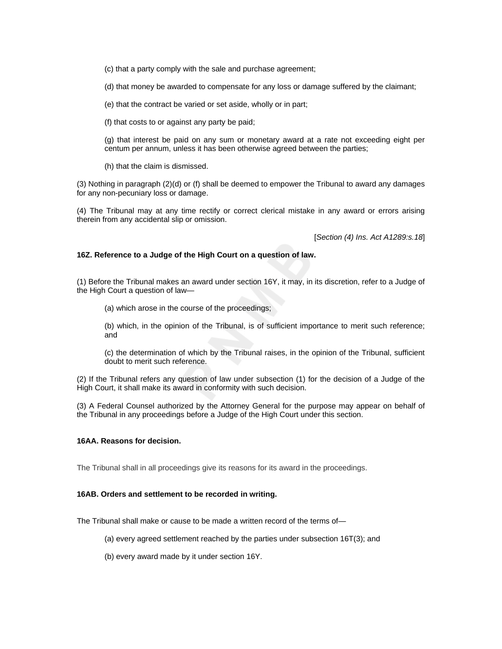(c) that a party comply with the sale and purchase agreement;

(d) that money be awarded to compensate for any loss or damage suffered by the claimant;

(e) that the contract be varied or set aside, wholly or in part;

(f) that costs to or against any party be paid;

(g) that interest be paid on any sum or monetary award at a rate not exceeding eight per centum per annum, unless it has been otherwise agreed between the parties;

(h) that the claim is dismissed.

(3) Nothing in paragraph (2)(d) or (f) shall be deemed to empower the Tribunal to award any damages for any non-pecuniary loss or damage.

(4) The Tribunal may at any time rectify or correct clerical mistake in any award or errors arising therein from any accidental slip or omission.

[*Section (4) Ins. Act A1289:s.18*]

### **16Z. Reference to a Judge of the High Court on a question of law.**

(1) Before the Tribunal makes an award under section 16Y, it may, in its discretion, refer to a Judge of the High Court a question of law—

(a) which arose in the course of the proceedings;

(b) which, in the opinion of the Tribunal, is of sufficient importance to merit such reference; and

(c) the determination of which by the Tribunal raises, in the opinion of the Tribunal, sufficient doubt to merit such reference.

(2) If the Tribunal refers any question of law under subsection (1) for the decision of a Judge of the High Court, it shall make its award in conformity with such decision.

(3) A Federal Counsel authorized by the Attorney General for the purpose may appear on behalf of the Tribunal in any proceedings before a Judge of the High Court under this section.

#### **16AA. Reasons for decision.**

The Tribunal shall in all proceedings give its reasons for its award in the proceedings.

#### **16AB. Orders and settlement to be recorded in writing.**

The Tribunal shall make or cause to be made a written record of the terms of—

(a) every agreed settlement reached by the parties under subsection 16T(3); and

(b) every award made by it under section 16Y.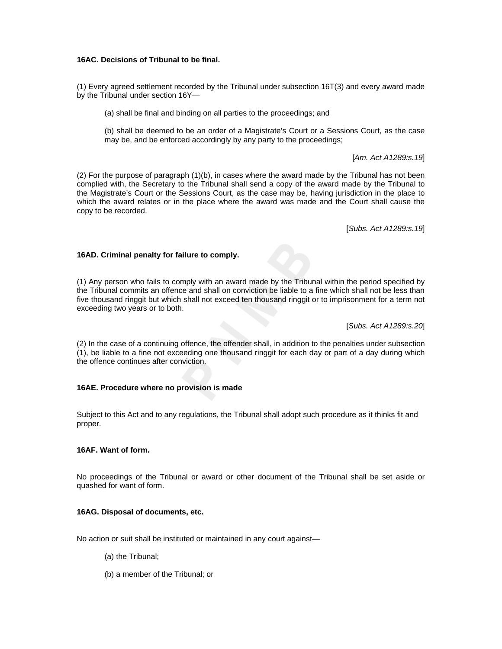# **16AC. Decisions of Tribunal to be final.**

(1) Every agreed settlement recorded by the Tribunal under subsection 16T(3) and every award made by the Tribunal under section 16Y—

(a) shall be final and binding on all parties to the proceedings; and

(b) shall be deemed to be an order of a Magistrate's Court or a Sessions Court, as the case may be, and be enforced accordingly by any party to the proceedings;

[*Am. Act A1289:s.19*]

(2) For the purpose of paragraph (1)(b), in cases where the award made by the Tribunal has not been complied with, the Secretary to the Tribunal shall send a copy of the award made by the Tribunal to the Magistrate's Court or the Sessions Court, as the case may be, having jurisdiction in the place to which the award relates or in the place where the award was made and the Court shall cause the copy to be recorded.

[*Subs. Act A1289:s.19*]

# **16AD. Criminal penalty for failure to comply.**

(1) Any person who fails to comply with an award made by the Tribunal within the period specified by the Tribunal commits an offence and shall on conviction be liable to a fine which shall not be less than five thousand ringgit but which shall not exceed ten thousand ringgit or to imprisonment for a term not exceeding two years or to both.

[*Subs. Act A1289:s.20*]

(2) In the case of a continuing offence, the offender shall, in addition to the penalties under subsection (1), be liable to a fine not exceeding one thousand ringgit for each day or part of a day during which the offence continues after conviction.

## **16AE. Procedure where no provision is made**

Subject to this Act and to any regulations, the Tribunal shall adopt such procedure as it thinks fit and proper.

## **16AF. Want of form.**

No proceedings of the Tribunal or award or other document of the Tribunal shall be set aside or quashed for want of form.

# **16AG. Disposal of documents, etc.**

No action or suit shall be instituted or maintained in any court against—

- (a) the Tribunal;
- (b) a member of the Tribunal; or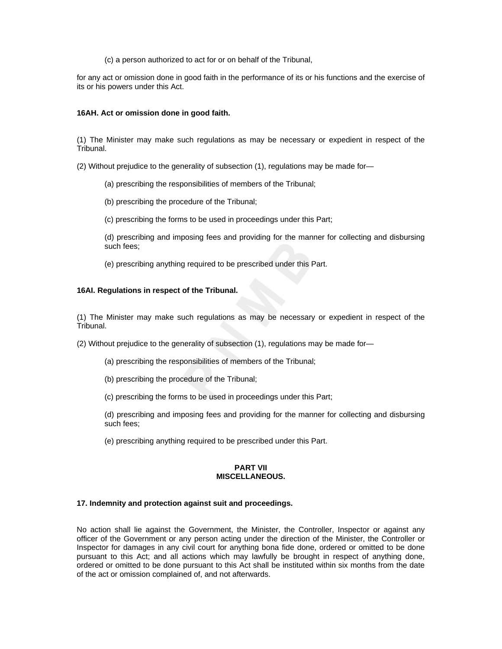(c) a person authorized to act for or on behalf of the Tribunal,

for any act or omission done in good faith in the performance of its or his functions and the exercise of its or his powers under this Act.

## **16AH. Act or omission done in good faith.**

(1) The Minister may make such regulations as may be necessary or expedient in respect of the Tribunal.

(2) Without prejudice to the generality of subsection (1), regulations may be made for—

(a) prescribing the responsibilities of members of the Tribunal;

(b) prescribing the procedure of the Tribunal;

(c) prescribing the forms to be used in proceedings under this Part;

(d) prescribing and imposing fees and providing for the manner for collecting and disbursing such fees;

(e) prescribing anything required to be prescribed under this Part.

### **16AI. Regulations in respect of the Tribunal.**

(1) The Minister may make such regulations as may be necessary or expedient in respect of the Tribunal.

(2) Without prejudice to the generality of subsection (1), regulations may be made for—

- (a) prescribing the responsibilities of members of the Tribunal;
- (b) prescribing the procedure of the Tribunal;

(c) prescribing the forms to be used in proceedings under this Part;

(d) prescribing and imposing fees and providing for the manner for collecting and disbursing such fees;

(e) prescribing anything required to be prescribed under this Part.

## **PART VII MISCELLANEOUS.**

## **17. Indemnity and protection against suit and proceedings.**

No action shall lie against the Government, the Minister, the Controller, Inspector or against any officer of the Government or any person acting under the direction of the Minister, the Controller or Inspector for damages in any civil court for anything bona fide done, ordered or omitted to be done pursuant to this Act; and all actions which may lawfully be brought in respect of anything done, ordered or omitted to be done pursuant to this Act shall be instituted within six months from the date of the act or omission complained of, and not afterwards.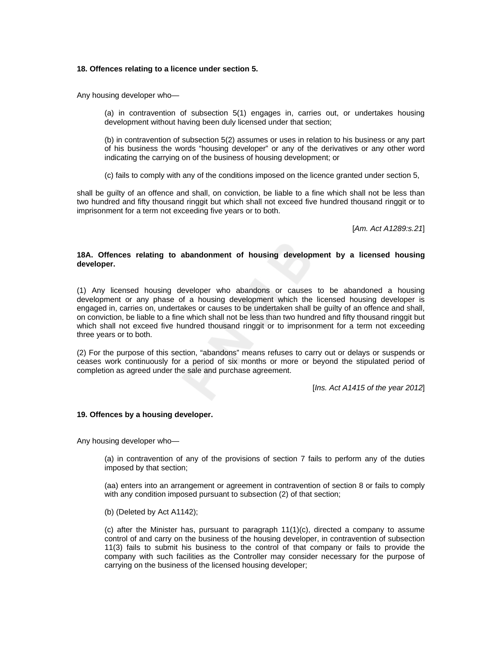### **18. Offences relating to a licence under section 5.**

Any housing developer who—

(a) in contravention of subsection 5(1) engages in, carries out, or undertakes housing development without having been duly licensed under that section;

(b) in contravention of subsection 5(2) assumes or uses in relation to his business or any part of his business the words "housing developer" or any of the derivatives or any other word indicating the carrying on of the business of housing development; or

(c) fails to comply with any of the conditions imposed on the licence granted under section 5,

shall be guilty of an offence and shall, on conviction, be liable to a fine which shall not be less than two hundred and fifty thousand ringgit but which shall not exceed five hundred thousand ringgit or to imprisonment for a term not exceeding five years or to both.

[*Am. Act A1289:s.21*]

## **18A. Offences relating to abandonment of housing development by a licensed housing developer.**

(1) Any licensed housing developer who abandons or causes to be abandoned a housing development or any phase of a housing development which the licensed housing developer is engaged in, carries on, undertakes or causes to be undertaken shall be guilty of an offence and shall, on conviction, be liable to a fine which shall not be less than two hundred and fifty thousand ringgit but which shall not exceed five hundred thousand ringgit or to imprisonment for a term not exceeding three years or to both.

(2) For the purpose of this section, "abandons" means refuses to carry out or delays or suspends or ceases work continuously for a period of six months or more or beyond the stipulated period of completion as agreed under the sale and purchase agreement.

[*Ins. Act A1415 of the year 2012*]

## **19. Offences by a housing developer.**

Any housing developer who—

(a) in contravention of any of the provisions of section 7 fails to perform any of the duties imposed by that section;

(aa) enters into an arrangement or agreement in contravention of section 8 or fails to comply with any condition imposed pursuant to subsection (2) of that section;

(b) (Deleted by Act A1142);

(c) after the Minister has, pursuant to paragraph  $11(1)(c)$ , directed a company to assume control of and carry on the business of the housing developer, in contravention of subsection 11(3) fails to submit his business to the control of that company or fails to provide the company with such facilities as the Controller may consider necessary for the purpose of carrying on the business of the licensed housing developer;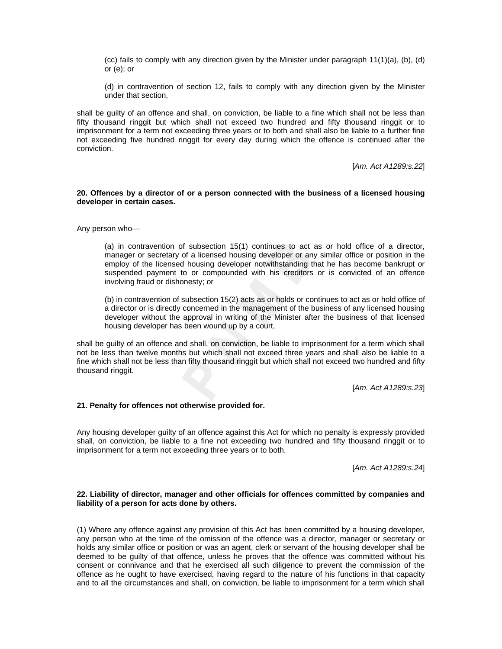(cc) fails to comply with any direction given by the Minister under paragraph 11(1)(a), (b), (d) or (e); or

(d) in contravention of section 12, fails to comply with any direction given by the Minister under that section,

shall be guilty of an offence and shall, on conviction, be liable to a fine which shall not be less than fifty thousand ringgit but which shall not exceed two hundred and fifty thousand ringgit or to imprisonment for a term not exceeding three years or to both and shall also be liable to a further fine not exceeding five hundred ringgit for every day during which the offence is continued after the conviction.

[*Am. Act A1289:s.22*]

### **20. Offences by a director of or a person connected with the business of a licensed housing developer in certain cases.**

Any person who—

(a) in contravention of subsection 15(1) continues to act as or hold office of a director, manager or secretary of a licensed housing developer or any similar office or position in the employ of the licensed housing developer notwithstanding that he has become bankrupt or suspended payment to or compounded with his creditors or is convicted of an offence involving fraud or dishonesty; or

(b) in contravention of subsection 15(2) acts as or holds or continues to act as or hold office of a director or is directly concerned in the management of the business of any licensed housing developer without the approval in writing of the Minister after the business of that licensed housing developer has been wound up by a court,

shall be guilty of an offence and shall, on conviction, be liable to imprisonment for a term which shall not be less than twelve months but which shall not exceed three years and shall also be liable to a fine which shall not be less than fifty thousand ringgit but which shall not exceed two hundred and fifty thousand ringgit.

[*Am. Act A1289:s.23*]

## **21. Penalty for offences not otherwise provided for.**

Any housing developer guilty of an offence against this Act for which no penalty is expressly provided shall, on conviction, be liable to a fine not exceeding two hundred and fifty thousand ringgit or to imprisonment for a term not exceeding three years or to both.

[*Am. Act A1289:s.24*]

### **22. Liability of director, manager and other officials for offences committed by companies and liability of a person for acts done by others.**

(1) Where any offence against any provision of this Act has been committed by a housing developer, any person who at the time of the omission of the offence was a director, manager or secretary or holds any similar office or position or was an agent, clerk or servant of the housing developer shall be deemed to be guilty of that offence, unless he proves that the offence was committed without his consent or connivance and that he exercised all such diligence to prevent the commission of the offence as he ought to have exercised, having regard to the nature of his functions in that capacity and to all the circumstances and shall, on conviction, be liable to imprisonment for a term which shall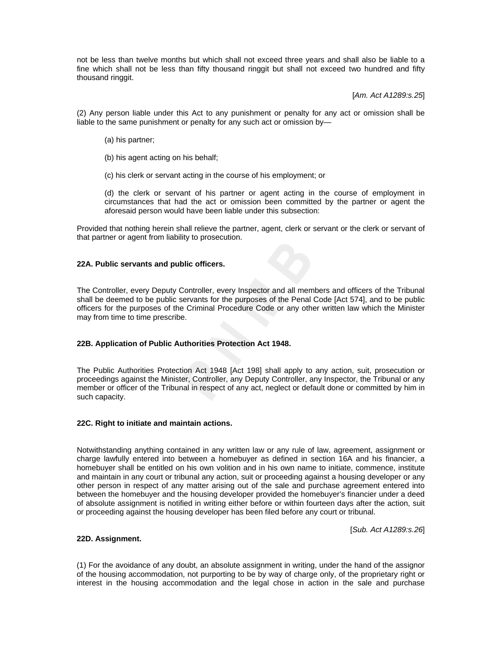not be less than twelve months but which shall not exceed three years and shall also be liable to a fine which shall not be less than fifty thousand ringgit but shall not exceed two hundred and fifty thousand ringgit.

[*Am. Act A1289:s.25*]

(2) Any person liable under this Act to any punishment or penalty for any act or omission shall be liable to the same punishment or penalty for any such act or omission by—

- (a) his partner;
- (b) his agent acting on his behalf;
- (c) his clerk or servant acting in the course of his employment; or

(d) the clerk or servant of his partner or agent acting in the course of employment in circumstances that had the act or omission been committed by the partner or agent the aforesaid person would have been liable under this subsection:

Provided that nothing herein shall relieve the partner, agent, clerk or servant or the clerk or servant of that partner or agent from liability to prosecution.

## **22A. Public servants and public officers.**

The Controller, every Deputy Controller, every Inspector and all members and officers of the Tribunal shall be deemed to be public servants for the purposes of the Penal Code [Act 574], and to be public officers for the purposes of the Criminal Procedure Code or any other written law which the Minister may from time to time prescribe.

## **22B. Application of Public Authorities Protection Act 1948.**

The Public Authorities Protection Act 1948 [Act 198] shall apply to any action, suit, prosecution or proceedings against the Minister, Controller, any Deputy Controller, any Inspector, the Tribunal or any member or officer of the Tribunal in respect of any act, neglect or default done or committed by him in such capacity.

## **22C. Right to initiate and maintain actions.**

Notwithstanding anything contained in any written law or any rule of law, agreement, assignment or charge lawfully entered into between a homebuyer as defined in section 16A and his financier, a homebuyer shall be entitled on his own volition and in his own name to initiate, commence, institute and maintain in any court or tribunal any action, suit or proceeding against a housing developer or any other person in respect of any matter arising out of the sale and purchase agreement entered into between the homebuyer and the housing developer provided the homebuyer's financier under a deed of absolute assignment is notified in writing either before or within fourteen days after the action, suit or proceeding against the housing developer has been filed before any court or tribunal.

[*Sub. Act A1289:s.26*]

## **22D. Assignment.**

(1) For the avoidance of any doubt, an absolute assignment in writing, under the hand of the assignor of the housing accommodation, not purporting to be by way of charge only, of the proprietary right or interest in the housing accommodation and the legal chose in action in the sale and purchase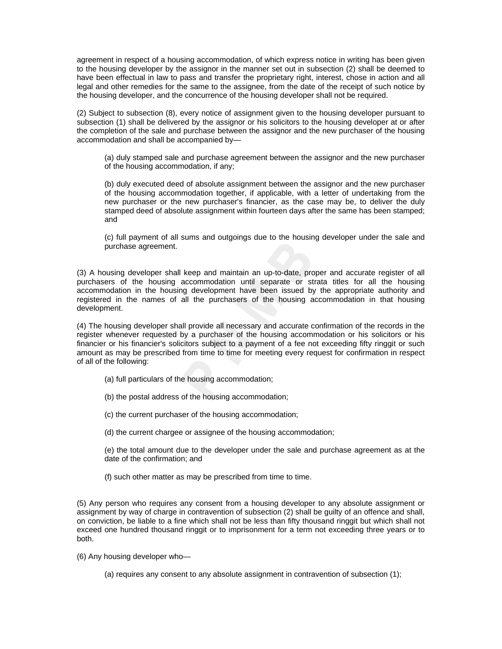agreement in respect of a housing accommodation, of which express notice in writing has been given to the housing developer by the assignor in the manner set out in subsection (2) shall be deemed to have been effectual in law to pass and transfer the proprietary right, interest, chose in action and all legal and other remedies for the same to the assignee, from the date of the receipt of such notice by the housing developer, and the concurrence of the housing developer shall not be required.

(2) Subject to subsection (8), every notice of assignment given to the housing developer pursuant to subsection (1) shall be delivered by the assignor or his solicitors to the housing developer at or after the completion of the sale and purchase between the assignor and the new purchaser of the housing accommodation and shall be accompanied by—

(a) duly stamped sale and purchase agreement between the assignor and the new purchaser of the housing accommodation, if any;

(b) duly executed deed of absolute assignment between the assignor and the new purchaser of the housing accommodation together, if applicable, with a letter of undertaking from the new purchaser or the new purchaser's financier, as the case may be, to deliver the duly stamped deed of absolute assignment within fourteen days after the same has been stamped; and

(c) full payment of all sums and outgoings due to the housing developer under the sale and purchase agreement.

(3) A housing developer shall keep and maintain an up-to-date, proper and accurate register of all purchasers of the housing accommodation until separate or strata titles for all the housing accommodation in the housing development have been issued by the appropriate authority and registered in the names of all the purchasers of the housing accommodation in that housing development.

(4) The housing developer shall provide all necessary and accurate confirmation of the records in the register whenever requested by a purchaser of the housing accommodation or his solicitors or his financier or his financier's solicitors subject to a payment of a fee not exceeding fifty ringgit or such amount as may be prescribed from time to time for meeting every request for confirmation in respect of all of the following:

- (a) full particulars of the housing accommodation;
- (b) the postal address of the housing accommodation;
- (c) the current purchaser of the housing accommodation;
- (d) the current chargee or assignee of the housing accommodation;

(e) the total amount due to the developer under the sale and purchase agreement as at the date of the confirmation; and

(f) such other matter as may be prescribed from time to time.

(5) Any person who requires any consent from a housing developer to any absolute assignment or assignment by way of charge in contravention of subsection (2) shall be guilty of an offence and shall, on conviction, be liable to a fine which shall not be less than fifty thousand ringgit but which shall not exceed one hundred thousand ringgit or to imprisonment for a term not exceeding three years or to both.

(6) Any housing developer who—

(a) requires any consent to any absolute assignment in contravention of subsection (1);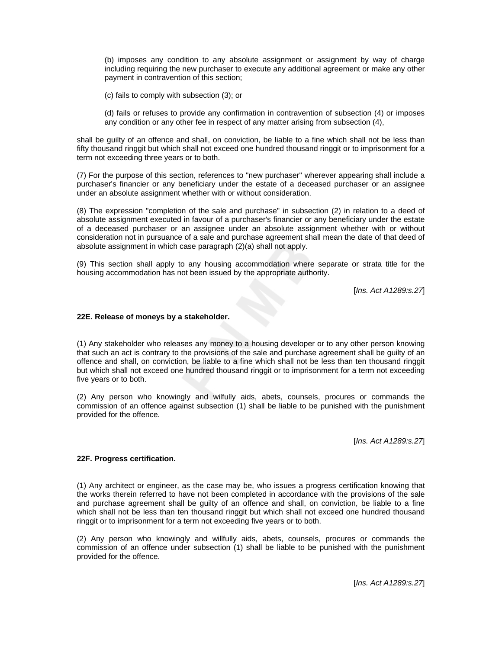(b) imposes any condition to any absolute assignment or assignment by way of charge including requiring the new purchaser to execute any additional agreement or make any other payment in contravention of this section;

(c) fails to comply with subsection (3); or

(d) fails or refuses to provide any confirmation in contravention of subsection (4) or imposes any condition or any other fee in respect of any matter arising from subsection (4),

shall be guilty of an offence and shall, on conviction, be liable to a fine which shall not be less than fifty thousand ringgit but which shall not exceed one hundred thousand ringgit or to imprisonment for a term not exceeding three years or to both.

(7) For the purpose of this section, references to "new purchaser" wherever appearing shall include a purchaser's financier or any beneficiary under the estate of a deceased purchaser or an assignee under an absolute assignment whether with or without consideration.

(8) The expression "completion of the sale and purchase" in subsection (2) in relation to a deed of absolute assignment executed in favour of a purchaser's financier or any beneficiary under the estate of a deceased purchaser or an assignee under an absolute assignment whether with or without consideration not in pursuance of a sale and purchase agreement shall mean the date of that deed of absolute assignment in which case paragraph (2)(a) shall not apply.

(9) This section shall apply to any housing accommodation where separate or strata title for the housing accommodation has not been issued by the appropriate authority.

[*Ins. Act A1289:s.27*]

## **22E. Release of moneys by a stakeholder.**

(1) Any stakeholder who releases any money to a housing developer or to any other person knowing that such an act is contrary to the provisions of the sale and purchase agreement shall be guilty of an offence and shall, on conviction, be liable to a fine which shall not be less than ten thousand ringgit but which shall not exceed one hundred thousand ringgit or to imprisonment for a term not exceeding five years or to both.

(2) Any person who knowingly and wilfully aids, abets, counsels, procures or commands the commission of an offence against subsection (1) shall be liable to be punished with the punishment provided for the offence.

[*Ins. Act A1289:s.27*]

## **22F. Progress certification.**

(1) Any architect or engineer, as the case may be, who issues a progress certification knowing that the works therein referred to have not been completed in accordance with the provisions of the sale and purchase agreement shall be guilty of an offence and shall, on conviction, be liable to a fine which shall not be less than ten thousand ringgit but which shall not exceed one hundred thousand ringgit or to imprisonment for a term not exceeding five years or to both.

(2) Any person who knowingly and willfully aids, abets, counsels, procures or commands the commission of an offence under subsection (1) shall be liable to be punished with the punishment provided for the offence.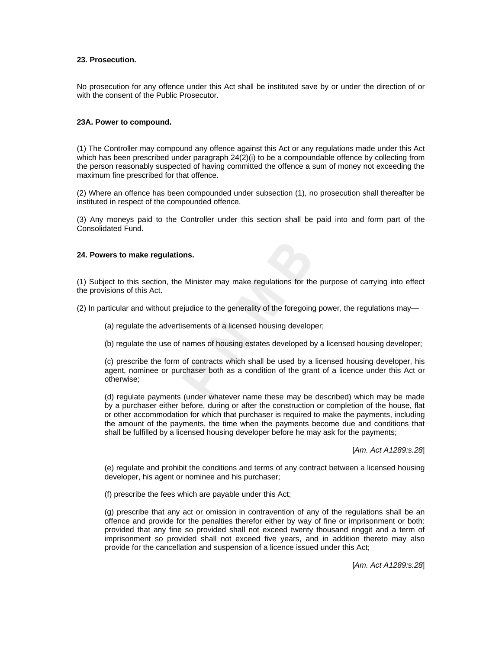### **23. Prosecution.**

No prosecution for any offence under this Act shall be instituted save by or under the direction of or with the consent of the Public Prosecutor.

### **23A. Power to compound.**

(1) The Controller may compound any offence against this Act or any regulations made under this Act which has been prescribed under paragraph 24(2)(i) to be a compoundable offence by collecting from the person reasonably suspected of having committed the offence a sum of money not exceeding the maximum fine prescribed for that offence.

(2) Where an offence has been compounded under subsection (1), no prosecution shall thereafter be instituted in respect of the compounded offence.

(3) Any moneys paid to the Controller under this section shall be paid into and form part of the Consolidated Fund.

### **24. Powers to make regulations.**

(1) Subject to this section, the Minister may make regulations for the purpose of carrying into effect the provisions of this Act.

(2) In particular and without prejudice to the generality of the foregoing power, the regulations may—

- (a) regulate the advertisements of a licensed housing developer;
- (b) regulate the use of names of housing estates developed by a licensed housing developer;

(c) prescribe the form of contracts which shall be used by a licensed housing developer, his agent, nominee or purchaser both as a condition of the grant of a licence under this Act or otherwise;

(d) regulate payments (under whatever name these may be described) which may be made by a purchaser either before, during or after the construction or completion of the house, flat or other accommodation for which that purchaser is required to make the payments, including the amount of the payments, the time when the payments become due and conditions that shall be fulfilled by a licensed housing developer before he may ask for the payments;

[*Am. Act A1289:s.28*]

(e) regulate and prohibit the conditions and terms of any contract between a licensed housing developer, his agent or nominee and his purchaser;

(f) prescribe the fees which are payable under this Act;

(g) prescribe that any act or omission in contravention of any of the regulations shall be an offence and provide for the penalties therefor either by way of fine or imprisonment or both: provided that any fine so provided shall not exceed twenty thousand ringgit and a term of imprisonment so provided shall not exceed five years, and in addition thereto may also provide for the cancellation and suspension of a licence issued under this Act;

[*Am. Act A1289:s.28*]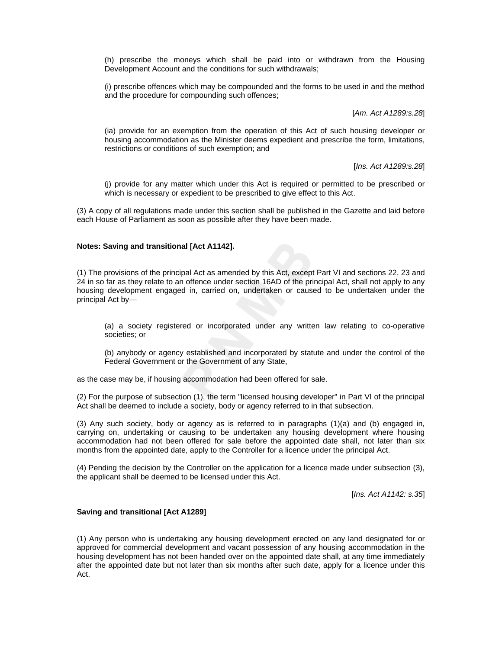(h) prescribe the moneys which shall be paid into or withdrawn from the Housing Development Account and the conditions for such withdrawals;

(i) prescribe offences which may be compounded and the forms to be used in and the method and the procedure for compounding such offences;

[*Am. Act A1289:s.28*]

(ia) provide for an exemption from the operation of this Act of such housing developer or housing accommodation as the Minister deems expedient and prescribe the form, limitations, restrictions or conditions of such exemption; and

[*Ins. Act A1289:s.28*]

(j) provide for any matter which under this Act is required or permitted to be prescribed or which is necessary or expedient to be prescribed to give effect to this Act.

(3) A copy of all regulations made under this section shall be published in the Gazette and laid before each House of Parliament as soon as possible after they have been made.

### **Notes: Saving and transitional [Act A1142].**

(1) The provisions of the principal Act as amended by this Act, except Part VI and sections 22, 23 and 24 in so far as they relate to an offence under section 16AD of the principal Act, shall not apply to any housing development engaged in, carried on, undertaken or caused to be undertaken under the principal Act by—

(a) a society registered or incorporated under any written law relating to co-operative societies; or

(b) anybody or agency established and incorporated by statute and under the control of the Federal Government or the Government of any State,

as the case may be, if housing accommodation had been offered for sale.

(2) For the purpose of subsection (1), the term "licensed housing developer" in Part VI of the principal Act shall be deemed to include a society, body or agency referred to in that subsection.

(3) Any such society, body or agency as is referred to in paragraphs (1)(a) and (b) engaged in, carrying on, undertaking or causing to be undertaken any housing development where housing accommodation had not been offered for sale before the appointed date shall, not later than six months from the appointed date, apply to the Controller for a licence under the principal Act.

(4) Pending the decision by the Controller on the application for a licence made under subsection (3), the applicant shall be deemed to be licensed under this Act.

[*Ins. Act A1142: s.35*]

### **Saving and transitional [Act A1289]**

(1) Any person who is undertaking any housing development erected on any land designated for or approved for commercial development and vacant possession of any housing accommodation in the housing development has not been handed over on the appointed date shall, at any time immediately after the appointed date but not later than six months after such date, apply for a licence under this Act.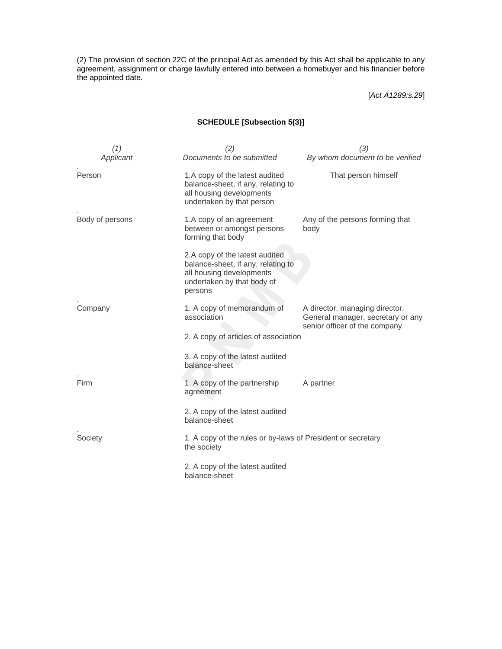(2) The provision of section 22C of the principal Act as amended by this Act shall be applicable to any agreement, assignment or charge lawfully entered into between a homebuyer and his financier before the appointed date.

[*Act A1289:s.29*]

# **SCHEDULE [Subsection 5(3)]**

| (1)             | (2)                                                                                                                                       | (3)                                                                                                  |
|-----------------|-------------------------------------------------------------------------------------------------------------------------------------------|------------------------------------------------------------------------------------------------------|
| Applicant       | Documents to be submitted                                                                                                                 | By whom document to be verified                                                                      |
| Person          | 1.A copy of the latest audited<br>balance-sheet, if any, relating to<br>all housing developments<br>undertaken by that person             | That person himself                                                                                  |
| Body of persons | 1.A copy of an agreement<br>between or amongst persons<br>forming that body                                                               | Any of the persons forming that<br>body                                                              |
|                 | 2.A copy of the latest audited<br>balance-sheet, if any, relating to<br>all housing developments<br>undertaken by that body of<br>persons |                                                                                                      |
| Company         | 1. A copy of memorandum of<br>association                                                                                                 | A director, managing director.<br>General manager, secretary or any<br>senior officer of the company |
|                 | 2. A copy of articles of association                                                                                                      |                                                                                                      |
|                 | 3. A copy of the latest audited<br>balance-sheet                                                                                          |                                                                                                      |
| Firm            | 1. A copy of the partnership<br>agreement                                                                                                 | A partner                                                                                            |
|                 | 2. A copy of the latest audited<br>balance-sheet                                                                                          |                                                                                                      |
| Society         | 1. A copy of the rules or by-laws of President or secretary<br>the society                                                                |                                                                                                      |
|                 | 2. A copy of the latest audited<br>balance-sheet                                                                                          |                                                                                                      |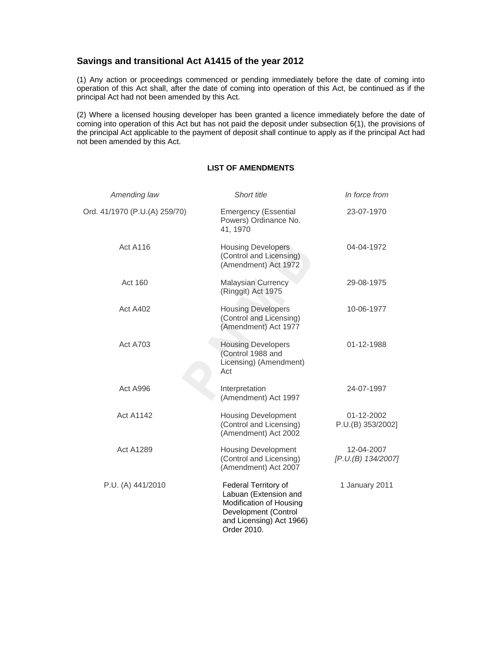# **Savings and transitional Act A1415 of the year 2012**

(1) Any action or proceedings commenced or pending immediately before the date of coming into operation of this Act shall, after the date of coming into operation of this Act, be continued as if the principal Act had not been amended by this Act.

(2) Where a licensed housing developer has been granted a licence immediately before the date of coming into operation of this Act but has not paid the deposit under subsection 6(1), the provisions of the principal Act applicable to the payment of deposit shall continue to apply as if the principal Act had not been amended by this Act.

# **LIST OF AMENDMENTS**

| Amending law                  | Short title                                                                                                                                 | In force from                    |
|-------------------------------|---------------------------------------------------------------------------------------------------------------------------------------------|----------------------------------|
| Ord. 41/1970 (P.U.(A) 259/70) | <b>Emergency (Essential</b><br>Powers) Ordinance No.<br>41, 1970                                                                            | 23-07-1970                       |
| <b>Act A116</b>               | <b>Housing Developers</b><br>(Control and Licensing)<br>(Amendment) Act 1972                                                                | 04-04-1972                       |
| Act 160                       | <b>Malaysian Currency</b><br>(Ringgit) Act 1975                                                                                             | 29-08-1975                       |
| Act A402                      | <b>Housing Developers</b><br>(Control and Licensing)<br>(Amendment) Act 1977                                                                | 10-06-1977                       |
| <b>Act A703</b>               | <b>Housing Developers</b><br>(Control 1988 and<br>Licensing) (Amendment)<br>Act                                                             | 01-12-1988                       |
| Act A996                      | Interpretation<br>(Amendment) Act 1997                                                                                                      | 24-07-1997                       |
| <b>Act A1142</b>              | <b>Housing Development</b><br>(Control and Licensing)<br>(Amendment) Act 2002                                                               | 01-12-2002<br>P.U.(B) 353/2002]  |
| <b>Act A1289</b>              | <b>Housing Development</b><br>(Control and Licensing)<br>(Amendment) Act 2007                                                               | 12-04-2007<br>[P.U.(B) 134/2007] |
| P.U. (A) 441/2010             | Federal Territory of<br>Labuan (Extension and<br>Modification of Housing<br>Development (Control<br>and Licensing) Act 1966)<br>Order 2010. | 1 January 2011                   |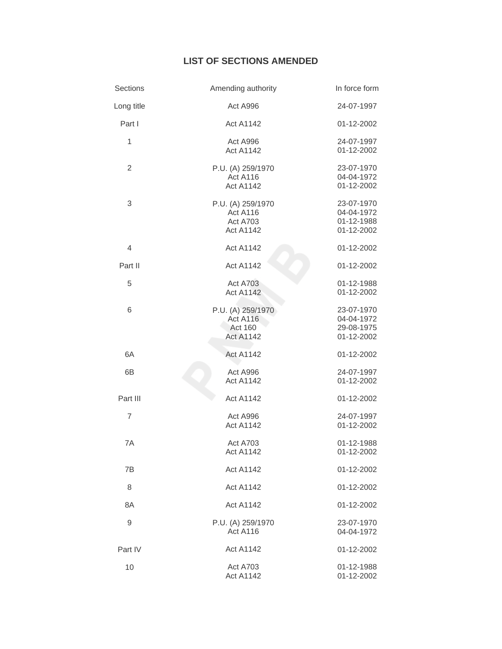# **LIST OF SECTIONS AMENDED**

| Sections       | Amending authority                                            | In force form                                        |
|----------------|---------------------------------------------------------------|------------------------------------------------------|
| Long title     | Act A996                                                      | 24-07-1997                                           |
| Part I         | <b>Act A1142</b>                                              | 01-12-2002                                           |
| 1              | Act A996<br><b>Act A1142</b>                                  | 24-07-1997<br>01-12-2002                             |
| $\overline{2}$ | P.U. (A) 259/1970<br>Act A116<br><b>Act A1142</b>             | 23-07-1970<br>04-04-1972<br>01-12-2002               |
| 3              | P.U. (A) 259/1970<br>Act A116<br>Act A703<br><b>Act A1142</b> | 23-07-1970<br>04-04-1972<br>01-12-1988<br>01-12-2002 |
| $\overline{4}$ | <b>Act A1142</b>                                              | 01-12-2002                                           |
| Part II        | <b>Act A1142</b>                                              | 01-12-2002                                           |
| 5              | Act A703<br><b>Act A1142</b>                                  | 01-12-1988<br>01-12-2002                             |
| 6              | P.U. (A) 259/1970<br>Act A116<br>Act 160<br><b>Act A1142</b>  | 23-07-1970<br>04-04-1972<br>29-08-1975<br>01-12-2002 |
| 6A             | <b>Act A1142</b>                                              | 01-12-2002                                           |
| 6B             | Act A996<br><b>Act A1142</b>                                  | 24-07-1997<br>01-12-2002                             |
| Part III       | <b>Act A1142</b>                                              | 01-12-2002                                           |
| $\overline{7}$ | Act A996<br><b>Act A1142</b>                                  | 24-07-1997<br>01-12-2002                             |
| 7A             | Act A703<br><b>Act A1142</b>                                  | 01-12-1988<br>01-12-2002                             |
| 7B             | <b>Act A1142</b>                                              | 01-12-2002                                           |
| 8              | <b>Act A1142</b>                                              | 01-12-2002                                           |
| 8A             | <b>Act A1142</b>                                              | 01-12-2002                                           |
| 9              | P.U. (A) 259/1970<br>Act A116                                 | 23-07-1970<br>04-04-1972                             |
| Part IV        | <b>Act A1142</b>                                              | 01-12-2002                                           |
| 10             | Act A703<br><b>Act A1142</b>                                  | 01-12-1988<br>01-12-2002                             |